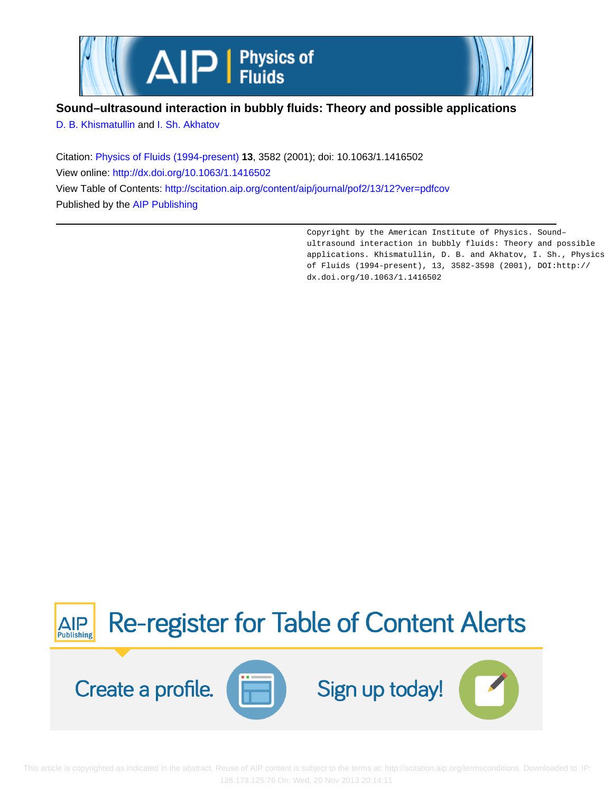

# **Sound–ultrasound interaction in bubbly fluids: Theory and possible applications**

[D. B. Khismatullin](http://scitation.aip.org/search?value1=D.+B.+Khismatullin&option1=author) and [I. Sh. Akhatov](http://scitation.aip.org/search?value1=I.+Sh.+Akhatov&option1=author)

Citation: [Physics of Fluids \(1994-present\)](http://scitation.aip.org/content/aip/journal/pof2?ver=pdfcov) **13**, 3582 (2001); doi: 10.1063/1.1416502 View online: <http://dx.doi.org/10.1063/1.1416502> View Table of Contents: <http://scitation.aip.org/content/aip/journal/pof2/13/12?ver=pdfcov> Published by the [AIP Publishing](http://scitation.aip.org/content/aip?ver=pdfcov)

> Copyright by the American Institute of Physics. Sound– ultrasound interaction in bubbly fluids: Theory and possible applications. Khismatullin, D. B. and Akhatov, I. Sh., Physics of Fluids (1994-present), 13, 3582-3598 (2001), DOI:http:// dx.doi.org/10.1063/1.1416502

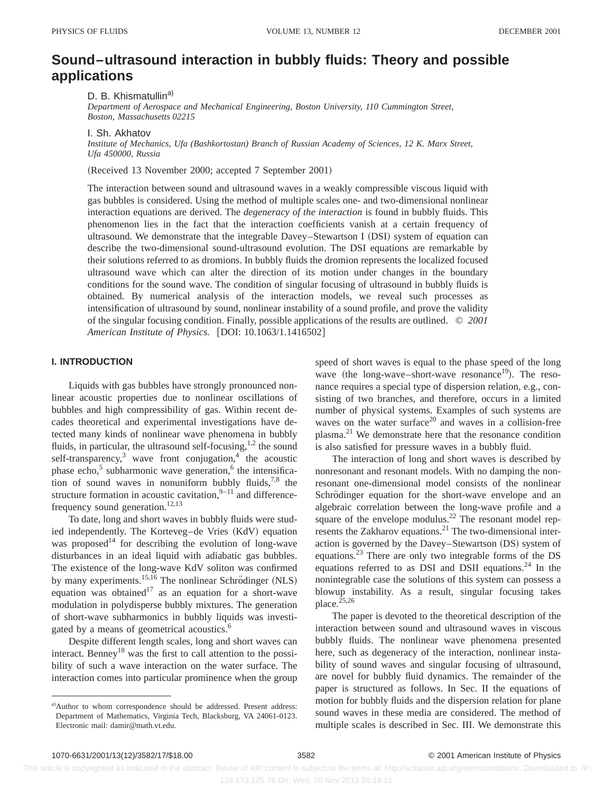# **Sound–ultrasound interaction in bubbly fluids: Theory and possible applications**

D. B. Khismatullin<sup>a)</sup>

*Department of Aerospace and Mechanical Engineering, Boston University, 110 Cummington Street, Boston, Massachusetts 02215*

I. Sh. Akhatov

*Institute of Mechanics, Ufa (Bashkortostan) Branch of Russian Academy of Sciences, 12 K. Marx Street, Ufa 450000, Russia*

(Received 13 November 2000; accepted 7 September 2001)

The interaction between sound and ultrasound waves in a weakly compressible viscous liquid with gas bubbles is considered. Using the method of multiple scales one- and two-dimensional nonlinear interaction equations are derived. The *degeneracy of the interaction* is found in bubbly fluids. This phenomenon lies in the fact that the interaction coefficients vanish at a certain frequency of ultrasound. We demonstrate that the integrable Davey–Stewartson I  $(DSI)$  system of equation can describe the two-dimensional sound-ultrasound evolution. The DSI equations are remarkable by their solutions referred to as dromions. In bubbly fluids the dromion represents the localized focused ultrasound wave which can alter the direction of its motion under changes in the boundary conditions for the sound wave. The condition of singular focusing of ultrasound in bubbly fluids is obtained. By numerical analysis of the interaction models, we reveal such processes as intensification of ultrasound by sound, nonlinear instability of a sound profile, and prove the validity of the singular focusing condition. Finally, possible applications of the results are outlined. © *2001 American Institute of Physics.* [DOI: 10.1063/1.1416502]

# **I. INTRODUCTION**

Liquids with gas bubbles have strongly pronounced nonlinear acoustic properties due to nonlinear oscillations of bubbles and high compressibility of gas. Within recent decades theoretical and experimental investigations have detected many kinds of nonlinear wave phenomena in bubbly fluids, in particular, the ultrasound self-focusing, $1,2$  the sound self-transparency,<sup>3</sup> wave front conjugation,<sup>4</sup> the acoustic phase echo,<sup>5</sup> subharmonic wave generation, $6$  the intensification of sound waves in nonuniform bubbly fluids,  $7,8$  the structure formation in acoustic cavitation, $9-11$  and differencefrequency sound generation.<sup>12,13</sup>

To date, long and short waves in bubbly fluids were studied independently. The Korteveg–de Vries (KdV) equation was proposed<sup>14</sup> for describing the evolution of long-wave disturbances in an ideal liquid with adiabatic gas bubbles. The existence of the long-wave KdV soliton was confirmed by many experiments.<sup>15,16</sup> The nonlinear Schrödinger (NLS) equation was obtained<sup>17</sup> as an equation for a short-wave modulation in polydisperse bubbly mixtures. The generation of short-wave subharmonics in bubbly liquids was investigated by a means of geometrical acoustics.<sup>6</sup>

Despite different length scales, long and short waves can interact. Benney<sup>18</sup> was the first to call attention to the possibility of such a wave interaction on the water surface. The interaction comes into particular prominence when the group

speed of short waves is equal to the phase speed of the long wave (the long-wave–short-wave resonance<sup>19</sup>). The resonance requires a special type of dispersion relation, e.g., consisting of two branches, and therefore, occurs in a limited number of physical systems. Examples of such systems are waves on the water surface<sup>20</sup> and waves in a collision-free plasma.21 We demonstrate here that the resonance condition is also satisfied for pressure waves in a bubbly fluid.

The interaction of long and short waves is described by nonresonant and resonant models. With no damping the nonresonant one-dimensional model consists of the nonlinear Schrödinger equation for the short-wave envelope and an algebraic correlation between the long-wave profile and a square of the envelope modulus.<sup>22</sup> The resonant model represents the Zakharov equations.<sup>21</sup> The two-dimensional interaction is governed by the Davey–Stewartson (DS) system of equations.23 There are only two integrable forms of the DS equations referred to as DSI and DSII equations.<sup>24</sup> In the nonintegrable case the solutions of this system can possess a blowup instability. As a result, singular focusing takes place.<sup>25,26</sup>

The paper is devoted to the theoretical description of the interaction between sound and ultrasound waves in viscous bubbly fluids. The nonlinear wave phenomena presented here, such as degeneracy of the interaction, nonlinear instability of sound waves and singular focusing of ultrasound, are novel for bubbly fluid dynamics. The remainder of the paper is structured as follows. In Sec. II the equations of motion for bubbly fluids and the dispersion relation for plane sound waves in these media are considered. The method of multiple scales is described in Sec. III. We demonstrate this

a)Author to whom correspondence should be addressed. Present address: Department of Mathematics, Virginia Tech, Blacksburg, VA 24061-0123. Electronic mail: damir@math.vt.edu.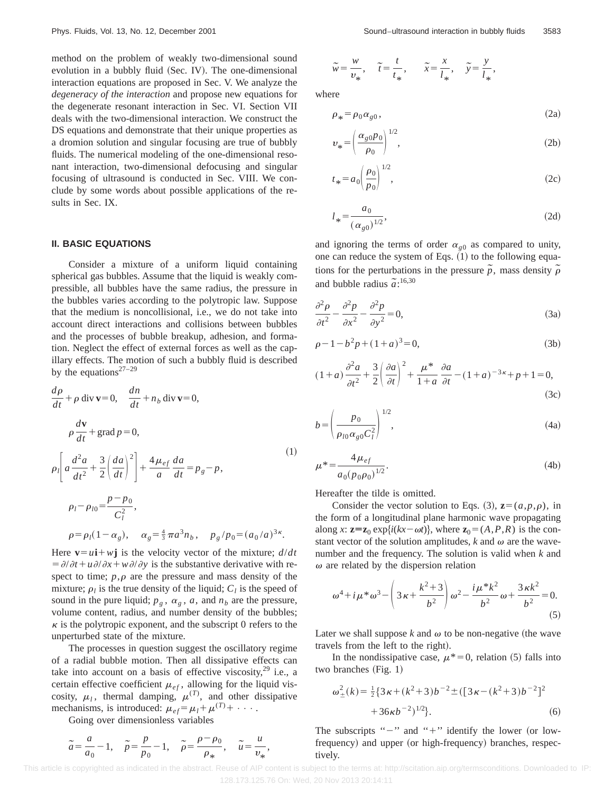method on the problem of weakly two-dimensional sound evolution in a bubbly fluid (Sec. IV). The one-dimensional interaction equations are proposed in Sec. V. We analyze the *degeneracy of the interaction* and propose new equations for the degenerate resonant interaction in Sec. VI. Section VII deals with the two-dimensional interaction. We construct the DS equations and demonstrate that their unique properties as a dromion solution and singular focusing are true of bubbly fluids. The numerical modeling of the one-dimensional resonant interaction, two-dimensional defocusing and singular focusing of ultrasound is conducted in Sec. VIII. We conclude by some words about possible applications of the results in Sec. IX.

### **II. BASIC EQUATIONS**

Consider a mixture of a uniform liquid containing spherical gas bubbles. Assume that the liquid is weakly compressible, all bubbles have the same radius, the pressure in the bubbles varies according to the polytropic law. Suppose that the medium is noncollisional, i.e., we do not take into account direct interactions and collisions between bubbles and the processes of bubble breakup, adhesion, and formation. Neglect the effect of external forces as well as the capillary effects. The motion of such a bubbly fluid is described by the equations<sup>27-29</sup>

$$
\frac{d\rho}{dt} + \rho \operatorname{div} \mathbf{v} = 0, \quad \frac{dn}{dt} + n_b \operatorname{div} \mathbf{v} = 0,
$$
\n
$$
\rho \frac{d\mathbf{v}}{dt} + \operatorname{grad} \rho = 0,
$$
\n
$$
\rho_l \left[ a \frac{d^2a}{dt^2} + \frac{3}{2} \left( \frac{da}{dt} \right)^2 \right] + \frac{4\mu_{ef}}{a} \frac{da}{dt} = p_g - p,
$$
\n
$$
\rho_l - \rho_{l0} = \frac{p - p_0}{C_l^2},
$$
\n
$$
\rho = \rho_l (1 - \alpha_g), \quad \alpha_g = \frac{4}{3} \pi a^3 n_b, \quad p_g / p_0 = (a_0/a)^{3\kappa}.
$$
\n(1)

Here  $\mathbf{v} = u\mathbf{i} + w\mathbf{j}$  is the velocity vector of the mixture;  $d/dt$  $= \partial/\partial t + u \partial/\partial x + w \partial/\partial y$  is the substantive derivative with respect to time;  $p, \rho$  are the pressure and mass density of the mixture;  $\rho_l$  is the true density of the liquid;  $C_l$  is the speed of sound in the pure liquid;  $p_g$ ,  $\alpha_g$ ,  $a$ , and  $n_b$  are the pressure, volume content, radius, and number density of the bubbles;  $\kappa$  is the polytropic exponent, and the subscript 0 refers to the unperturbed state of the mixture.

The processes in question suggest the oscillatory regime of a radial bubble motion. Then all dissipative effects can take into account on a basis of effective viscosity, $29$  i.e., a certain effective coefficient  $\mu_{ef}$ , allowing for the liquid viscosity,  $\mu_l$ , thermal damping,  $\mu^{(T)}$ , and other dissipative mechanisms, is introduced:  $\mu_{ef} = \mu_l + \mu^{(T)} + \cdots$ .

Going over dimensionless variables

$$
\widetilde{a} = \frac{a}{a_0} - 1, \quad \widetilde{p} = \frac{p}{p_0} - 1, \quad \widetilde{p} = \frac{\rho - \rho_0}{\rho_*}, \quad \widetilde{u} = \frac{u}{v_*},
$$

$$
\widetilde{w} = \frac{w}{v_*}, \quad \widetilde{t} = \frac{t}{t_*}, \quad \widetilde{x} = \frac{x}{l_*}, \quad \widetilde{y} = \frac{y}{l_*},
$$

where

$$
\rho_* = \rho_0 \alpha_{g0},\tag{2a}
$$

$$
v_* = \left(\frac{\alpha_{g0} p_0}{\rho_0}\right)^{1/2},\tag{2b}
$$

$$
t_* = a_0 \left(\frac{\rho_0}{p_0}\right)^{1/2},\tag{2c}
$$

$$
l_* = \frac{a_0}{(\alpha_{g0})^{1/2}},
$$
\n(2d)

and ignoring the terms of order  $\alpha_{g0}$  as compared to unity, one can reduce the system of Eqs.  $(1)$  to the following equations for the perturbations in the pressure  $\tilde{p}$ , mass density  $\tilde{\rho}$ and bubble radius  $\tilde{a}$ <sup>16,30</sup>

$$
\frac{\partial^2 \rho}{\partial t^2} - \frac{\partial^2 p}{\partial x^2} - \frac{\partial^2 p}{\partial y^2} = 0,
$$
\n(3a)

$$
\rho - 1 - b^2 p + (1 + a)^3 = 0,\tag{3b}
$$

$$
(1+a)\frac{\partial^2 a}{\partial t^2} + \frac{3}{2} \left(\frac{\partial a}{\partial t}\right)^2 + \frac{\mu^*}{1+a} \frac{\partial a}{\partial t} - (1+a)^{-3\kappa} + p + 1 = 0,
$$
\n(3c)

$$
b = \left(\frac{p_0}{\rho_{l0} \alpha_{g0} C_l^2}\right)^{1/2},
$$
\n(4a)

$$
\mu^* = \frac{4\,\mu_{ef}}{a_0(p_0\rho_0)^{1/2}}.\tag{4b}
$$

Hereafter the tilde is omitted.

Consider the vector solution to Eqs. (3),  $z=(a,p,\rho)$ , in the form of a longitudinal plane harmonic wave propagating along *x*:  $z=z_0 \exp{i(kx-\omega t)}$ , where  $z_0 = (A, P, R)$  is the constant vector of the solution amplitudes,  $k$  and  $\omega$  are the wavenumber and the frequency. The solution is valid when *k* and  $\omega$  are related by the dispersion relation

$$
\omega^4 + i\mu^* \omega^3 - \left(3\kappa + \frac{k^2 + 3}{b^2}\right)\omega^2 - \frac{i\mu^* k^2}{b^2}\omega + \frac{3\kappa k^2}{b^2} = 0.
$$
\n(5)

Later we shall suppose  $k$  and  $\omega$  to be non-negative (the wave travels from the left to the right).

In the nondissipative case,  $\mu^*=0$ , relation (5) falls into two branches  $(Fig. 1)$ 

$$
\omega_{\pm}^{2}(k) = \frac{1}{2} \{3\kappa + (k^{2} + 3)b^{-2} \pm ([3\kappa - (k^{2} + 3)b^{-2}]^{2} + 36\kappa b^{-2})^{1/2}\}.
$$
\n(6)

The subscripts " $-$ " and " $+$ " identify the lower (or lowfrequency) and upper (or high-frequency) branches, respectively.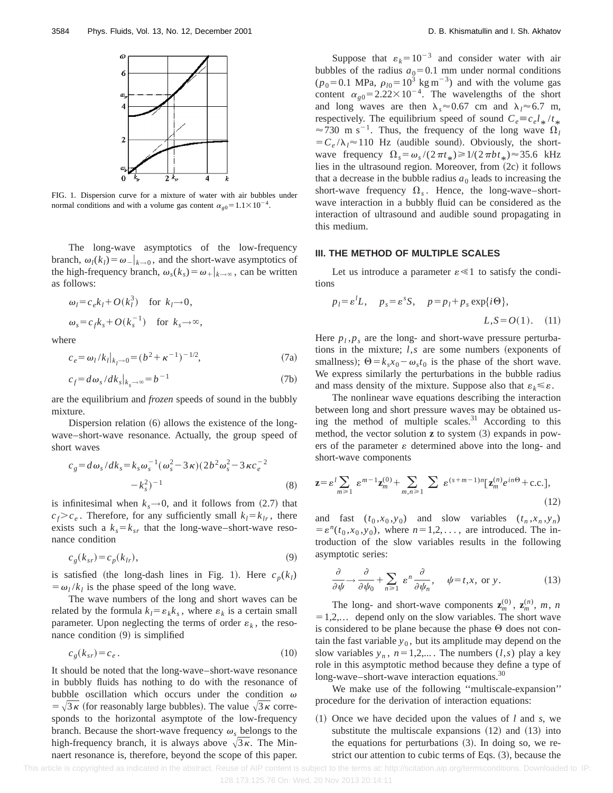

FIG. 1. Dispersion curve for a mixture of water with air bubbles under normal conditions and with a volume gas content  $\alpha_{\rho 0} = 1.1 \times 10^{-4}$ .

The long-wave asymptotics of the low-frequency branch,  $\omega_l(k_l) = \omega_{-k}$ , and the short-wave asymptotics of the high-frequency branch,  $\omega_s(k_s) = \omega_+|_{k \to \infty}$ , can be written as follows:

$$
\omega_l = c_e k_l + O(k_l^3) \quad \text{for } k_l \to 0,
$$
  

$$
\omega_s = c_f k_s + O(k_s^{-1}) \quad \text{for } k_s \to \infty,
$$

where

$$
c_e = \omega_l / k_l |_{k_l \to 0} = (b^2 + \kappa^{-1})^{-1/2}, \tag{7a}
$$

$$
c_f = d\omega_s / dk_s|_{k_s \to \infty} = b^{-1}
$$
 (7b)

are the equilibrium and *frozen* speeds of sound in the bubbly mixture.

Dispersion relation  $(6)$  allows the existence of the longwave–short-wave resonance. Actually, the group speed of short waves

$$
c_g = d\omega_s / dk_s = k_s \omega_s^{-1} (\omega_s^2 - 3\kappa)(2b^2 \omega_s^2 - 3\kappa c_e^{-2} -k_s^2)^{-1}
$$
\n(8)

is infinitesimal when  $k_s \rightarrow 0$ , and it follows from (2.7) that  $c_f > c_e$ . Therefore, for any sufficiently small  $k_l = k_l$ , there exists such a  $k_s = k_{sr}$  that the long-wave–short-wave resonance condition

$$
c_g(k_{sr}) = c_p(k_{lr}),\tag{9}
$$

is satisfied (the long-dash lines in Fig. 1). Here  $c_p(k_l)$  $= \omega_l / k_l$  is the phase speed of the long wave.

The wave numbers of the long and short waves can be related by the formula  $k_l = \varepsilon_k k_s$ , where  $\varepsilon_k$  is a certain small parameter. Upon neglecting the terms of order  $\varepsilon_k$ , the resonance condition  $(9)$  is simplified

$$
c_g(k_{sr}) = c_e. \tag{10}
$$

It should be noted that the long-wave–short-wave resonance in bubbly fluids has nothing to do with the resonance of bubble oscillation which occurs under the condition  $\omega$  $= \sqrt{3\kappa}$  (for reasonably large bubbles). The value  $\sqrt{3\kappa}$  corresponds to the horizontal asymptote of the low-frequency branch. Because the short-wave frequency  $\omega_s$  belongs to the high-frequency branch, it is always above  $\sqrt{3\kappa}$ . The Minnaert resonance is, therefore, beyond the scope of this paper.

Suppose that  $\varepsilon_k = 10^{-3}$  and consider water with air bubbles of the radius  $a_0=0.1$  mm under normal conditions  $(p_0=0.1 \text{ MPa}, p_{l0}=10^3 \text{ kg m}^{-3})$  and with the volume gas content  $\alpha_{g0} = 2.22 \times 10^{-4}$ . The wavelengths of the short and long waves are then  $\lambda_s \approx 0.67$  cm and  $\lambda_l \approx 6.7$  m, respectively. The equilibrium speed of sound  $C_e \equiv c_e l_* / t$  $\approx$  730 m s<sup>-1</sup>. Thus, the frequency of the long wave  $\Omega_l$  $= C_e / \lambda_l \approx 110$  Hz (audible sound). Obviously, the shortwave frequency  $\Omega_s = \omega_s/(2\pi t_*) \ge 1/(2\pi b t_*) \approx 35.6$  kHz lies in the ultrasound region. Moreover, from  $(2c)$  it follows that a decrease in the bubble radius  $a_0$  leads to increasing the short-wave frequency  $\Omega_s$ . Hence, the long-wave–shortwave interaction in a bubbly fluid can be considered as the interaction of ultrasound and audible sound propagating in this medium.

#### **III. THE METHOD OF MULTIPLE SCALES**

Let us introduce a parameter  $\varepsilon \ll 1$  to satisfy the conditions

$$
p_l = \varepsilon^l L
$$
,  $p_s = \varepsilon^s S$ ,  $p = p_l + p_s \exp{\{i\Theta\}}$ ,  
 $L, S = O(1)$ . (11)

Here  $p_l$ ,  $p_s$  are the long- and short-wave pressure perturbations in the mixture;  $l, s$  are some numbers (exponents of smallness);  $\Theta = k_s x_0 - \omega_s t_0$  is the phase of the short wave. We express similarly the perturbations in the bubble radius and mass density of the mixture. Suppose also that  $\varepsilon_k \leq \varepsilon$ .

The nonlinear wave equations describing the interaction between long and short pressure waves may be obtained using the method of multiple scales. $31$  According to this method, the vector solution  $z$  to system  $(3)$  expands in powers of the parameter  $\varepsilon$  determined above into the long- and short-wave components

$$
\mathbf{z} = \varepsilon^l \sum_{m \ge 1} \varepsilon^{m-1} \mathbf{z}_m^{(0)} + \sum_{m,n \ge 1} \sum_{s \in \varepsilon^{(s+m-1)n}} \left[ \mathbf{z}_m^{(n)} e^{in\Theta} + \text{c.c.} \right],\tag{12}
$$

and fast  $(t_0, x_0, y_0)$  and slow variables  $(t_n, x_n, y_n)$  $= \varepsilon^{n}(t_0, x_0, y_0)$ , where  $n=1,2,\ldots$ , are introduced. The introduction of the slow variables results in the following asymptotic series:

$$
\frac{\partial}{\partial \psi} \to \frac{\partial}{\partial \psi_0} + \sum_{n \ge 1} \varepsilon^n \frac{\partial}{\partial \psi_n}, \quad \psi = t, x, \text{ or } y. \tag{13}
$$

The long- and short-wave components  $\mathbf{z}_m^{(0)}$ ,  $\mathbf{z}_m^{(n)}$ ,  $m$ , *n*  $=1,2,...$  depend only on the slow variables. The short wave is considered to be plane because the phase  $\Theta$  does not contain the fast variable  $y_0$ , but its amplitude may depend on the slow variables  $y_n$ ,  $n=1,2,...$ . The numbers  $(l,s)$  play a key role in this asymptotic method because they define a type of long-wave–short-wave interaction equations.<sup>30</sup>

We make use of the following ''multiscale-expansion'' procedure for the derivation of interaction equations:

 $(1)$  Once we have decided upon the values of *l* and *s*, we substitute the multiscale expansions  $(12)$  and  $(13)$  into the equations for perturbations  $(3)$ . In doing so, we restrict our attention to cubic terms of Eqs.  $(3)$ , because the

This article is copyrighted as indicated in the abstract. Reuse of AIP content is subject to the terms at: http://scitation.aip.org/termsconditions. Downloaded to IP: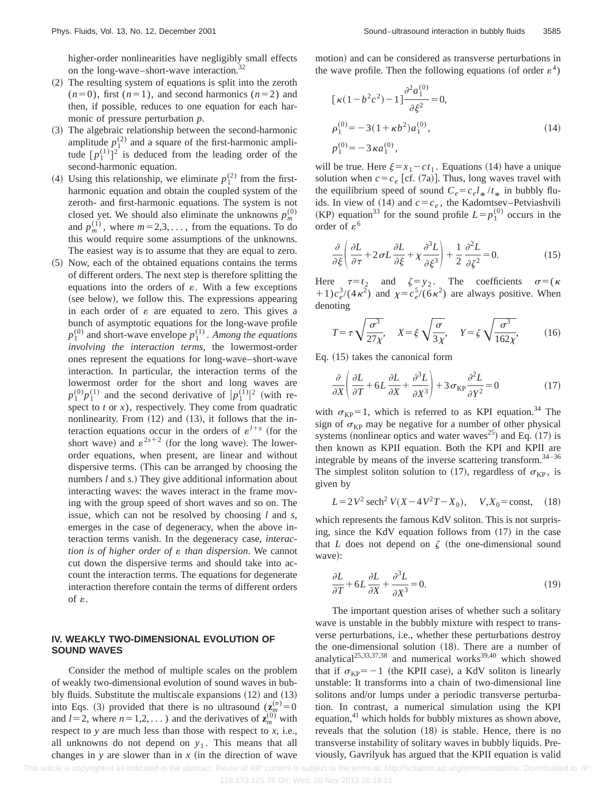higher-order nonlinearities have negligibly small effects on the long-wave–short-wave interaction.<sup>32</sup>

- (2) The resulting system of equations is split into the zeroth  $(n=0)$ , first  $(n=1)$ , and second harmonics  $(n=2)$  and then, if possible, reduces to one equation for each harmonic of pressure perturbation *p*.
- ~3! The algebraic relationship between the second-harmonic amplitude  $p_1^{(2)}$  and a square of the first-harmonic amplitude  $[p_1^{(1)}]^2$  is deduced from the leading order of the second-harmonic equation.
- (4) Using this relationship, we eliminate  $p_1^{(2)}$  from the firstharmonic equation and obtain the coupled system of the zeroth- and first-harmonic equations. The system is not closed yet. We should also eliminate the unknowns  $p_m^{(0)}$ and  $p_m^{(1)}$ , where  $m=2,3,...$ , from the equations. To do this would require some assumptions of the unknowns. The easiest way is to assume that they are equal to zero.
- ~5! Now, each of the obtained equations contains the terms of different orders. The next step is therefore splitting the equations into the orders of  $\varepsilon$ . With a few exceptions (see below), we follow this. The expressions appearing in each order of  $\varepsilon$  are equated to zero. This gives a bunch of asymptotic equations for the long-wave profile  $p_1^{(0)}$  and short-wave envelope  $p_1^{(1)}$ . *Among the equations involving the interaction terms*, the lowermost-order ones represent the equations for long-wave–short-wave interaction. In particular, the interaction terms of the lowermost order for the short and long waves are  $p_1^{(0)}p_1^{(1)}$  and the second derivative of  $|p_1^{(1)}|^2$  (with respect to *t* or *x*), respectively. They come from quadratic nonlinearity. From  $(12)$  and  $(13)$ , it follows that the interaction equations occur in the orders of  $\varepsilon^{l+s}$  (for the short wave) and  $\varepsilon^{2s+2}$  (for the long wave). The lowerorder equations, when present, are linear and without dispersive terms. (This can be arranged by choosing the numbers *l* and *s*.) They give additional information about interacting waves: the waves interact in the frame moving with the group speed of short waves and so on. The issue, which can not be resolved by choosing *l* and *s*, emerges in the case of degeneracy, when the above interaction terms vanish. In the degeneracy case, *interaction is of higher order of*  $\varepsilon$  *than dispersion*. We cannot cut down the dispersive terms and should take into account the interaction terms. The equations for degenerate interaction therefore contain the terms of different orders of  $\varepsilon$ .

# **IV. WEAKLY TWO-DIMENSIONAL EVOLUTION OF SOUND WAVES**

Consider the method of multiple scales on the problem of weakly two-dimensional evolution of sound waves in bubbly fluids. Substitute the multiscale expansions  $(12)$  and  $(13)$ into Eqs. (3) provided that there is no ultrasound  $(\mathbf{z}_m^{(n)}=0)$ and  $l=2$ , where  $n=1,2,...$  ) and the derivatives of  $\mathbf{z}_m^{(0)}$  with respect to *y* are much less than those with respect to *x*, i.e., all unknowns do not depend on  $y_1$ . This means that all changes in *y* are slower than in  $x$  (in the direction of wave motion) and can be considered as transverse perturbations in the wave profile. Then the following equations (of order  $\varepsilon^4$ )

$$
[\kappa(1 - b^2 c^2) - 1] \frac{\partial^2 a_1^{(0)}}{\partial \xi^2} = 0,
$$
  
\n
$$
\rho_1^{(0)} = -3(1 + \kappa b^2) a_1^{(0)},
$$
  
\n
$$
p_1^{(0)} = -3 \kappa a_1^{(0)},
$$
\n(14)

will be true. Here  $\xi = x_1 - ct_1$ . Equations (14) have a unique solution when  $c = c_e$  [cf. (7a)]. Thus, long waves travel with the equilibrium speed of sound  $C_e = c_e l_{\ast}/l_{\ast}$  in bubbly fluids. In view of (14) and  $c = c_e$ , the Kadomtsev–Petviashvili (KP) equation<sup>33</sup> for the sound profile  $L=p_1^{(0)}$  occurs in the order of  $\varepsilon^6$ 

$$
\frac{\partial}{\partial \xi} \left( \frac{\partial L}{\partial \tau} + 2 \sigma L \frac{\partial L}{\partial \xi} + \chi \frac{\partial^3 L}{\partial \xi^3} \right) + \frac{1}{2} \frac{\partial^2 L}{\partial \zeta^2} = 0.
$$
 (15)

Here  $\tau=t_2$  and  $\zeta=y_2$ . The coefficients  $\sigma=(\kappa)$ +1) $c_e^3/(4\kappa^2)$  and  $\chi = c_e^5/(6\kappa^2)$  are always positive. When denoting

$$
T = \tau \sqrt{\frac{\sigma^3}{27\chi}}, \quad X = \xi \sqrt{\frac{\sigma}{3\chi}}, \quad Y = \zeta \sqrt{\frac{\sigma^3}{162\chi}}, \quad (16)
$$

Eq.  $(15)$  takes the canonical form

$$
\frac{\partial}{\partial X} \left( \frac{\partial L}{\partial T} + 6L \frac{\partial L}{\partial X} + \frac{\partial^3 L}{\partial X^3} \right) + 3 \sigma_{KP} \frac{\partial^2 L}{\partial Y^2} = 0 \tag{17}
$$

with  $\sigma_{KP} = 1$ , which is referred to as KPI equation.<sup>34</sup> The sign of  $\sigma_{KP}$  may be negative for a number of other physical systems (nonlinear optics and water waves<sup>25</sup>) and Eq.  $(17)$  is then known as KPII equation. Both the KPI and KPII are integrable by means of the inverse scattering transform.<sup>34-36</sup> The simplest soliton solution to (17), regardless of  $\sigma_{KP}$ , is given by

$$
L = 2V^2 \operatorname{sech}^2 V(X - 4V^2T - X_0), \quad V, X_0 = \text{const}, \quad (18)
$$

which represents the famous KdV soliton. This is not surprising, since the KdV equation follows from  $(17)$  in the case that *L* does not depend on  $\zeta$  (the one-dimensional sound wave):

$$
\frac{\partial L}{\partial T} + 6L \frac{\partial L}{\partial X} + \frac{\partial^3 L}{\partial X^3} = 0.
$$
 (19)

The important question arises of whether such a solitary wave is unstable in the bubbly mixture with respect to transverse perturbations, i.e., whether these perturbations destroy the one-dimensional solution  $(18)$ . There are a number of analytical<sup>25,33,37,38</sup> and numerical works<sup>39,40</sup> which showed that if  $\sigma_{KP}=-1$  (the KPII case), a KdV soliton is linearly unstable: It transforms into a chain of two-dimensional line solitons and/or lumps under a periodic transverse perturbation. In contrast, a numerical simulation using the KPI equation, $41$  which holds for bubbly mixtures as shown above, reveals that the solution  $(18)$  is stable. Hence, there is no transverse instability of solitary waves in bubbly liquids. Previously, Gavrilyuk has argued that the KPII equation is valid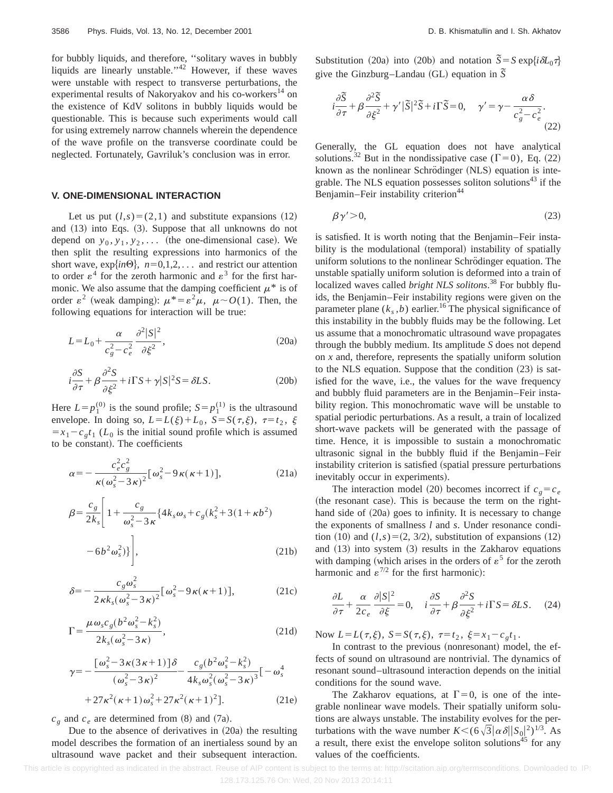for bubbly liquids, and therefore, ''solitary waves in bubbly liquids are linearly unstable."<sup>42</sup> However, if these waves were unstable with respect to transverse perturbations, the experimental results of Nakoryakov and his co-workers<sup>14</sup> on the existence of KdV solitons in bubbly liquids would be questionable. This is because such experiments would call for using extremely narrow channels wherein the dependence of the wave profile on the transverse coordinate could be neglected. Fortunately, Gavriluk's conclusion was in error.

# **V. ONE-DIMENSIONAL INTERACTION**

Let us put  $(l,s)=(2,1)$  and substitute expansions  $(12)$ and  $(13)$  into Eqs.  $(3)$ . Suppose that all unknowns do not depend on  $y_0, y_1, y_2, \ldots$  (the one-dimensional case). We then split the resulting expressions into harmonics of the short wave,  $exp\{in\Theta\}$ ,  $n=0,1,2,...$  and restrict our attention to order  $\varepsilon^4$  for the zeroth harmonic and  $\varepsilon^3$  for the first harmonic. We also assume that the damping coefficient  $\mu^*$  is of order  $\varepsilon^2$  (weak damping):  $\mu^* = \varepsilon^2 \mu$ ,  $\mu \sim O(1)$ . Then, the following equations for interaction will be true:

$$
L = L_0 + \frac{\alpha}{c_g^2 - c_e^2} \frac{\partial^2 |S|^2}{\partial \xi^2},
$$
 (20a)

$$
i\frac{\partial S}{\partial \tau} + \beta \frac{\partial^2 S}{\partial \xi^2} + i\Gamma S + \gamma |S|^2 S = \delta LS.
$$
 (20b)

Here  $L=p_1^{(0)}$  is the sound profile;  $S=p_1^{(1)}$  is the ultrasound envelope. In doing so,  $L = L(\xi) + L_0$ ,  $S = S(\tau, \xi)$ ,  $\tau = t_2$ ,  $\xi$  $=x_1-c_gt_1$  ( $L_0$  is the initial sound profile which is assumed to be constant). The coefficients

$$
\alpha = -\frac{c_e^2 c_g^2}{\kappa(\omega_s^2 - 3\kappa)^2} [\omega_s^2 - 9\kappa(\kappa + 1)],
$$
\n(21a)

$$
\beta = \frac{c_g}{2k_s} \left[ 1 + \frac{c_g}{\omega_s^2 - 3\kappa} \{ 4k_s \omega_s + c_g (k_s^2 + 3(1 + \kappa b^2) - 6b^2 \omega_s^2) \} \right],
$$
\n(21b)

$$
\delta = -\frac{c_g \omega_s^2}{2\kappa k_s (\omega_s^2 - 3\kappa)^2} [\omega_s^2 - 9\kappa(\kappa + 1)],\tag{21c}
$$

$$
\Gamma = \frac{\mu \omega_s c_g (b^2 \omega_s^2 - k_s^2)}{2k_s (\omega_s^2 - 3\kappa)},
$$
\n(21d)

$$
\gamma = -\frac{\left[\omega_s^2 - 3\kappa(3\kappa + 1)\right]\delta}{\left(\omega_s^2 - 3\kappa\right)^2} - \frac{c_g(b^2\omega_s^2 - k_s^2)}{4k_s\omega_s^2(\omega_s^2 - 3\kappa)^3} \left[-\omega_s^4\right] + 27\kappa^2(\kappa + 1)\omega_s^2 + 27\kappa^2(\kappa + 1)^2].
$$
 (21e)

 $c_g$  and  $c_e$  are determined from (8) and (7a).

Due to the absence of derivatives in  $(20a)$  the resulting model describes the formation of an inertialess sound by an ultrasound wave packet and their subsequent interaction. Substitution (20a) into (20b) and notation  $\tilde{S} = S \exp{\{i\delta L_0 \tau\}}$ give the Ginzburg–Landau (GL) equation in  $\overline{S}$ 

$$
i\frac{\partial \tilde{S}}{\partial \tau} + \beta \frac{\partial^2 \tilde{S}}{\partial \xi^2} + \gamma' |\tilde{S}|^2 \tilde{S} + i\Gamma \tilde{S} = 0, \quad \gamma' = \gamma - \frac{\alpha \delta}{c_g^2 - c_e^2}.
$$
\n(22)

Generally, the GL equation does not have analytical solutions.<sup>32</sup> But in the nondissipative case ( $\Gamma$ =0), Eq. (22) known as the nonlinear Schrödinger (NLS) equation is integrable. The NLS equation possesses soliton solutions<sup> $43$ </sup> if the Benjamin–Feir instability criterion<sup>44</sup>

$$
\beta \gamma' > 0,\tag{23}
$$

is satisfied. It is worth noting that the Benjamin–Feir instability is the modulational (temporal) instability of spatially uniform solutions to the nonlinear Schrödinger equation. The unstable spatially uniform solution is deformed into a train of localized waves called *bright NLS solitons*. <sup>38</sup> For bubbly fluids, the Benjamin–Feir instability regions were given on the parameter plane  $(k_s, b)$  earlier.<sup>16</sup> The physical significance of this instability in the bubbly fluids may be the following. Let us assume that a monochromatic ultrasound wave propagates through the bubbly medium. Its amplitude *S* does not depend on *x* and, therefore, represents the spatially uniform solution to the NLS equation. Suppose that the condition  $(23)$  is satisfied for the wave, i.e., the values for the wave frequency and bubbly fluid parameters are in the Benjamin–Feir instability region. This monochromatic wave will be unstable to spatial periodic perturbations. As a result, a train of localized short-wave packets will be generated with the passage of time. Hence, it is impossible to sustain a monochromatic ultrasonic signal in the bubbly fluid if the Benjamin–Feir instability criterion is satisfied (spatial pressure perturbations) inevitably occur in experiments).

The interaction model (20) becomes incorrect if  $c_g = c_e$ (the resonant case). This is because the term on the righthand side of  $(20a)$  goes to infinity. It is necessary to change the exponents of smallness *l* and *s*. Under resonance condition  $(10)$  and  $(l,s)=(2, 3/2)$ , substitution of expansions  $(12)$ and  $(13)$  into system  $(3)$  results in the Zakharov equations with damping (which arises in the orders of  $\varepsilon^5$  for the zeroth harmonic and  $\varepsilon^{7/2}$  for the first harmonic):

$$
\frac{\partial L}{\partial \tau} + \frac{\alpha}{2c_e} \frac{\partial |S|^2}{\partial \xi} = 0, \quad i \frac{\partial S}{\partial \tau} + \beta \frac{\partial^2 S}{\partial \xi^2} + i \Gamma S = \delta L S. \quad (24)
$$

Now  $L = L(\tau, \xi)$ ,  $S = S(\tau, \xi)$ ,  $\tau = t_2$ ,  $\xi = x_1 - c_g t_1$ .

In contrast to the previous (nonresonant) model, the effects of sound on ultrasound are nontrivial. The dynamics of resonant sound–ultrasound interaction depends on the initial conditions for the sound wave.

The Zakharov equations, at  $\Gamma=0$ , is one of the integrable nonlinear wave models. Their spatially uniform solutions are always unstable. The instability evolves for the perturbations with the wave number  $K < (6\sqrt{3}|\alpha\delta||S_0|^2)^{1/3}$ . As a result, there exist the envelope soliton solutions<sup>45</sup> for any values of the coefficients.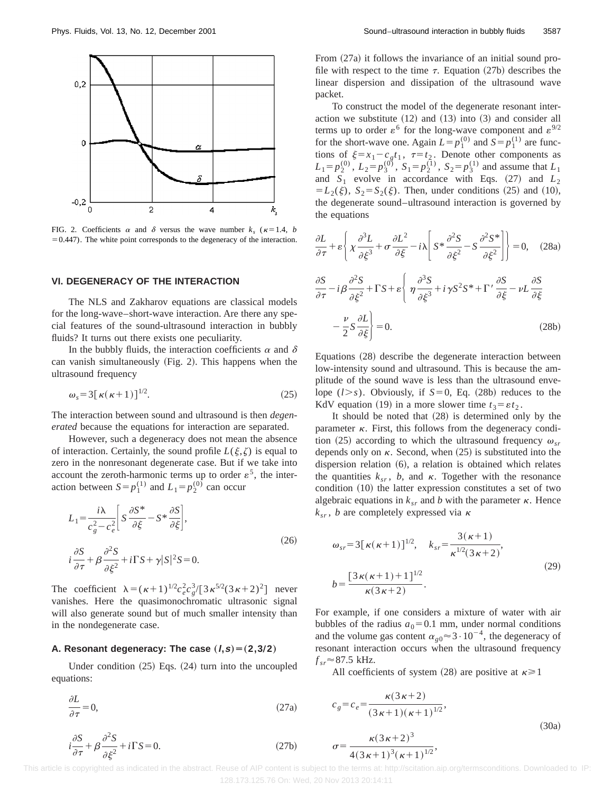

FIG. 2. Coefficients  $\alpha$  and  $\delta$  versus the wave number  $k_0$  ( $\kappa=1.4$ , *b*  $=0.447$ ). The white point corresponds to the degeneracy of the interaction.

#### **VI. DEGENERACY OF THE INTERACTION**

The NLS and Zakharov equations are classical models for the long-wave–short-wave interaction. Are there any special features of the sound-ultrasound interaction in bubbly fluids? It turns out there exists one peculiarity.

In the bubbly fluids, the interaction coefficients  $\alpha$  and  $\delta$ can vanish simultaneously  $(Fig. 2)$ . This happens when the ultrasound frequency

$$
\omega_s = 3\left[\kappa(\kappa+1)\right]^{1/2}.\tag{25}
$$

The interaction between sound and ultrasound is then *degenerated* because the equations for interaction are separated.

However, such a degeneracy does not mean the absence of interaction. Certainly, the sound profile  $L(\xi,\zeta)$  is equal to zero in the nonresonant degenerate case. But if we take into account the zeroth-harmonic terms up to order  $\varepsilon^5$ , the interaction between  $S = p_1^{(1)}$  and  $L_1 = p_2^{(0)}$  can occur

$$
L_1 = \frac{i\lambda}{c_g^2 - c_e^2} \left[ S \frac{\partial S^*}{\partial \xi} - S^* \frac{\partial S}{\partial \xi} \right],
$$
  
\n
$$
i \frac{\partial S}{\partial \tau} + \beta \frac{\partial^2 S}{\partial \xi^2} + i \Gamma S + \gamma |S|^2 S = 0.
$$
\n(26)

The coefficient  $\lambda = (\kappa+1)^{1/2} c_e^2 c_g^3 / [3 \kappa^{5/2} (3 \kappa+2)^2]$  never vanishes. Here the quasimonochromatic ultrasonic signal will also generate sound but of much smaller intensity than in the nondegenerate case.

#### **A. Resonant degeneracy: The case**  $(I, s) = (2, 3/2)$

*i*

Under condition  $(25)$  Eqs.  $(24)$  turn into the uncoupled equations:

$$
\frac{\partial L}{\partial \tau} = 0,\tag{27a}
$$

From  $(27a)$  it follows the invariance of an initial sound profile with respect to the time  $\tau$ . Equation (27b) describes the linear dispersion and dissipation of the ultrasound wave packet.

To construct the model of the degenerate resonant interaction we substitute  $(12)$  and  $(13)$  into  $(3)$  and consider all terms up to order  $\varepsilon^6$  for the long-wave component and  $\varepsilon^{9/2}$ for the short-wave one. Again  $L = p_1^{(0)}$  and  $S = p_1^{(1)}$  are functions of  $\xi = x_1 - c_g t_1$ ,  $\tau = t_2$ . Denote other components as  $L_1 = p_2^{(0)}$ ,  $L_2 = p_3^{(0)}$ ,  $S_1 = p_2^{(1)}$ ,  $S_2 = p_3^{(1)}$  and assume that  $L_1$ and  $S_1$  evolve in accordance with Eqs.  $(27)$  and  $L_2$  $= L_2(\xi)$ ,  $S_2 = S_2(\xi)$ . Then, under conditions (25) and (10), the degenerate sound–ultrasound interaction is governed by the equations

$$
\frac{\partial L}{\partial \tau} + \varepsilon \left\{ \chi \frac{\partial^3 L}{\partial \xi^3} + \sigma \frac{\partial L^2}{\partial \xi} - i \chi \right| S^* \frac{\partial^2 S}{\partial \xi^2} - S \frac{\partial^2 S^*}{\partial \xi^2} \right\} = 0, \quad (28a)
$$
  

$$
\frac{\partial S}{\partial \tau} - i \beta \frac{\partial^2 S}{\partial \xi^2} + \Gamma S + \varepsilon \left\{ \eta \frac{\partial^3 S}{\partial \xi^3} + i \gamma S^2 S^* + \Gamma' \frac{\partial S}{\partial \xi} - \nu L \frac{\partial S}{\partial \xi} \right\} = 0.
$$
  

$$
- \frac{\nu}{2} S \frac{\partial L}{\partial \xi} = 0.
$$
  
(28b)

Equations (28) describe the degenerate interaction between low-intensity sound and ultrasound. This is because the amplitude of the sound wave is less than the ultrasound envelope  $(l > s)$ . Obviously, if  $S=0$ , Eq. (28b) reduces to the KdV equation (19) in a more slower time  $t_3 = \varepsilon t_2$ .

It should be noted that  $(28)$  is determined only by the parameter  $\kappa$ . First, this follows from the degeneracy condition (25) according to which the ultrasound frequency  $\omega_{sr}$ depends only on  $\kappa$ . Second, when (25) is substituted into the dispersion relation  $(6)$ , a relation is obtained which relates the quantities  $k_{sr}$ , *b*, and  $\kappa$ . Together with the resonance condition  $(10)$  the latter expression constitutes a set of two algebraic equations in  $k_{sr}$  and *b* with the parameter  $\kappa$ . Hence  $k_{sr}$ , *b* are completely expressed via  $\kappa$ 

$$
\omega_{sr} = 3[\kappa(\kappa+1)]^{1/2}, \quad k_{sr} = \frac{3(\kappa+1)}{\kappa^{1/2}(3\kappa+2)},
$$
  

$$
b = \frac{[3\kappa(\kappa+1)+1]^{1/2}}{\kappa(3\kappa+2)}.
$$
 (29)

For example, if one considers a mixture of water with air bubbles of the radius  $a_0=0.1$  mm, under normal conditions and the volume gas content  $\alpha_{g0} \approx 3 \cdot 10^{-4}$ , the degeneracy of resonant interaction occurs when the ultrasound frequency  $f_{sr} \approx 87.5$  kHz.

All coefficients of system (28) are positive at  $\kappa \ge 1$ 

$$
c_g = c_e = \frac{\kappa (3 \kappa + 2)}{(3 \kappa + 1)(\kappa + 1)^{1/2}},
$$
  

$$
\sigma = \frac{\kappa (3 \kappa + 2)^3}{4 (3 \kappa + 1)^3 (\kappa + 1)^{1/2}},
$$
 (30a)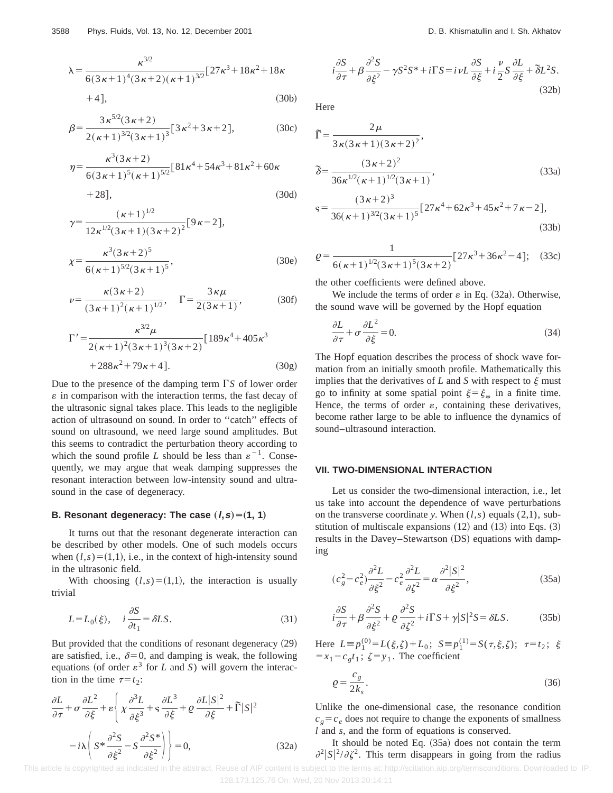$$
\lambda = \frac{\kappa^{3/2}}{6(3\kappa + 1)^4 (3\kappa + 2)(\kappa + 1)^{3/2}} [27\kappa^3 + 18\kappa^2 + 18\kappa + 4],
$$
\n(30b)

$$
\beta = \frac{3\,\kappa^{5/2}(3\,\kappa+2)}{2(\,\kappa+1)^{3/2}(3\,\kappa+1)^3}[3\,\kappa^2+3\,\kappa+2],\tag{30c}
$$

$$
\eta = \frac{\kappa^3 (3 \kappa + 2)}{6 (3 \kappa + 1)^5 (\kappa + 1)^{5/2}} [81 \kappa^4 + 54 \kappa^3 + 81 \kappa^2 + 60 \kappa + 28],
$$
\n(30d)

$$
\gamma = \frac{(\kappa + 1)^{1/2}}{12\kappa^{1/2}(3\kappa + 1)(3\kappa + 2)^2} [9\kappa - 2],
$$
  

$$
\chi = \frac{\kappa^3 (3\kappa + 2)^5}{6(\kappa + 1)^{5/2} (3\kappa + 1)^5},
$$
 (30e)

$$
\nu = \frac{\kappa (3 \kappa + 2)}{(3 \kappa + 1)^2 (\kappa + 1)^{1/2}}, \quad \Gamma = \frac{3 \kappa \mu}{2(3 \kappa + 1)},
$$
 (30f)

$$
\Gamma' = \frac{\kappa^{3/2} \mu}{2(\kappa + 1)^2 (3\kappa + 1)^3 (3\kappa + 2)} [189 \kappa^4 + 405 \kappa^3 + 288 \kappa^2 + 79 \kappa + 4].
$$
\n(30g)

Due to the presence of the damping term  $\Gamma S$  of lower order  $\varepsilon$  in comparison with the interaction terms, the fast decay of the ultrasonic signal takes place. This leads to the negligible action of ultrasound on sound. In order to ''catch'' effects of sound on ultrasound, we need large sound amplitudes. But this seems to contradict the perturbation theory according to which the sound profile *L* should be less than  $\varepsilon^{-1}$ . Consequently, we may argue that weak damping suppresses the resonant interaction between low-intensity sound and ultrasound in the case of degeneracy.

# **B. Resonant degeneracy: The case**  $(I, s) = (1, 1)$

It turns out that the resonant degenerate interaction can be described by other models. One of such models occurs when  $(l,s)=(1,1)$ , i.e., in the context of high-intensity sound in the ultrasonic field.

With choosing  $(l,s)=(1,1)$ , the interaction is usually trivial

$$
L = L_0(\xi), \quad i \frac{\partial S}{\partial t_1} = \delta L S. \tag{31}
$$

But provided that the conditions of resonant degeneracy  $(29)$ are satisfied, i.e.,  $\delta=0$ , and damping is weak, the following equations (of order  $\varepsilon^3$  for *L* and *S*) will govern the interaction in the time  $\tau = t_2$ :

$$
\frac{\partial L}{\partial \tau} + \sigma \frac{\partial L^2}{\partial \xi} + \varepsilon \left\{ \chi \frac{\partial^3 L}{\partial \xi^3} + \varsigma \frac{\partial L^3}{\partial \xi} + \varrho \frac{\partial L |S|^2}{\partial \xi} + \widetilde{\Gamma} |S|^2 - i\lambda \left( S^* \frac{\partial^2 S}{\partial \xi^2} - S \frac{\partial^2 S^*}{\partial \xi^2} \right) \right\} = 0,
$$
\n(32a)

$$
i\frac{\partial S}{\partial \tau} + \beta \frac{\partial^2 S}{\partial \xi^2} - \gamma S^2 S^* + i\Gamma S = i\nu L \frac{\partial S}{\partial \xi} + i\frac{\nu}{2} S \frac{\partial L}{\partial \xi} + \delta L^2 S.
$$
\n(32b)

Here

$$
\Gamma = \frac{2\mu}{3\kappa(3\kappa+1)(3\kappa+2)^2},
$$
  

$$
\tilde{\delta} = \frac{(3\kappa+2)^2}{36\kappa^{1/2}(\kappa+1)^{1/2}(3\kappa+1)},
$$
 (33a)

$$
s = \frac{(3\kappa + 2)^3}{36(\kappa + 1)^{3/2}(3\kappa + 1)^5} [27\kappa^4 + 62\kappa^3 + 45\kappa^2 + 7\kappa - 2],
$$
\n(33b)

$$
\varrho = \frac{1}{6(\kappa + 1)^{1/2} (3\kappa + 1)^5 (3\kappa + 2)} [27\kappa^3 + 36\kappa^2 - 4];
$$
 (33c)

the other coefficients were defined above.

We include the terms of order  $\varepsilon$  in Eq. (32a). Otherwise, the sound wave will be governed by the Hopf equation

$$
\frac{\partial L}{\partial \tau} + \sigma \frac{\partial L^2}{\partial \xi} = 0.
$$
\n(34)

The Hopf equation describes the process of shock wave formation from an initially smooth profile. Mathematically this implies that the derivatives of  $L$  and  $S$  with respect to  $\xi$  must go to infinity at some spatial point  $\xi = \xi_*$  in a finite time. Hence, the terms of order  $\varepsilon$ , containing these derivatives, become rather large to be able to influence the dynamics of sound–ultrasound interaction.

#### **VII. TWO-DIMENSIONAL INTERACTION**

Let us consider the two-dimensional interaction, i.e., let us take into account the dependence of wave perturbations on the transverse coordinate *y*. When (*l*,*s*) equals (2,1), substitution of multiscale expansions  $(12)$  and  $(13)$  into Eqs.  $(3)$ results in the Davey–Stewartson (DS) equations with damping

$$
(c_g^2 - c_e^2) \frac{\partial^2 L}{\partial \xi^2} - c_e^2 \frac{\partial^2 L}{\partial \xi^2} = \alpha \frac{\partial^2 |S|^2}{\partial \xi^2},
$$
\n(35a)

$$
i\frac{\partial S}{\partial \tau} + \beta \frac{\partial^2 S}{\partial \xi^2} + \varrho \frac{\partial^2 S}{\partial \xi^2} + i\Gamma S + \gamma |S|^2 S = \delta LS.
$$
 (35b)

Here  $L \equiv p_1^{(0)} = L(\xi, \zeta) + L_0$ ;  $S \equiv p_1^{(1)} = S(\tau, \xi, \zeta)$ ;  $\tau = t_2$ ;  $\xi$  $=x_1-c_gt_1$ ;  $\zeta = y_1$ . The coefficient

$$
\varrho = \frac{c_g}{2k_s}.\tag{36}
$$

Unlike the one-dimensional case, the resonance condition  $c_g = c_e$  does not require to change the exponents of smallness *l* and *s*, and the form of equations is conserved.

It should be noted Eq.  $(35a)$  does not contain the term  $\partial^2 |S|^2 / \partial \zeta^2$ . This term disappears in going from the radius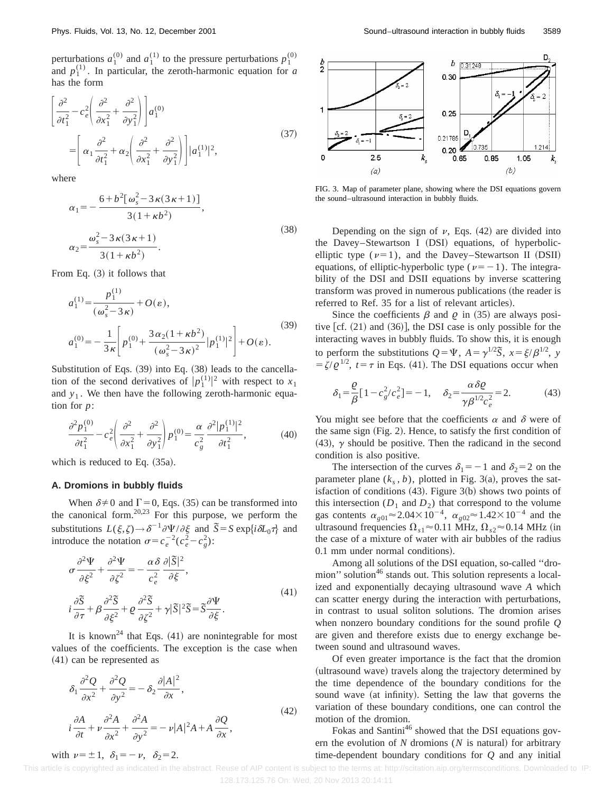perturbations  $a_1^{(0)}$  and  $a_1^{(1)}$  to the pressure perturbations  $p_1^{(0)}$ and  $p_1^{(1)}$ . In particular, the zeroth-harmonic equation for *a* has the form

$$
\begin{aligned}\n\left[\frac{\partial^2}{\partial t_1^2} - c_e^2 \left( \frac{\partial^2}{\partial x_1^2} + \frac{\partial^2}{\partial y_1^2} \right) \right] a_1^{(0)} \\
= \left[ \alpha_1 \frac{\partial^2}{\partial t_1^2} + \alpha_2 \left( \frac{\partial^2}{\partial x_1^2} + \frac{\partial^2}{\partial y_1^2} \right) \right] |a_1^{(1)}|^2,\n\end{aligned} \tag{37}
$$

where

$$
\alpha_1 = -\frac{6 + b^2 [\omega_s^2 - 3\kappa (3\kappa + 1)]}{3(1 + \kappa b^2)},
$$
  
\n
$$
\alpha_2 = \frac{\omega_s^2 - 3\kappa (3\kappa + 1)}{3(1 + \kappa b^2)}.
$$
\n(38)

From Eq.  $(3)$  it follows that

$$
a_1^{(1)} = \frac{p_1^{(1)}}{(\omega_s^2 - 3\kappa)} + O(\varepsilon),
$$
  
\n
$$
a_1^{(0)} = -\frac{1}{3\kappa} \left[ p_1^{(0)} + \frac{3\alpha_2(1 + \kappa b^2)}{(\omega_s^2 - 3\kappa)^2} |p_1^{(1)}|^2 \right] + O(\varepsilon).
$$
\n(39)

Substitution of Eqs.  $(39)$  into Eq.  $(38)$  leads to the cancellation of the second derivatives of  $|p_1^{(1)}|^2$  with respect to  $x_1$ and  $y_1$ . We then have the following zeroth-harmonic equation for *p*:

$$
\frac{\partial^2 p_1^{(0)}}{\partial t_1^2} - c_e^2 \left( \frac{\partial^2}{\partial x_1^2} + \frac{\partial^2}{\partial y_1^2} \right) p_1^{(0)} = \frac{\alpha}{c_g^2} \frac{\partial^2 |p_1^{(1)}|^2}{\partial t_1^2},\tag{40}
$$

which is reduced to Eq.  $(35a)$ .

#### **A. Dromions in bubbly fluids**

with  $\nu=\pm 1$ ,  $\delta_1=-\nu$ ,  $\delta_2=2$ .

When  $\delta \neq 0$  and  $\Gamma = 0$ , Eqs. (35) can be transformed into the canonical form.20,23 For this purpose, we perform the substitutions  $L(\xi, \zeta) \to \delta^{-1} \partial \Psi / \partial \xi$  and  $\overline{S} = S \exp\{i\delta L_0 \tau\}$  and introduce the notation  $\sigma = c_e^{-2} (c_e^2 - c_g^2)$ :

$$
\sigma \frac{\partial^2 \Psi}{\partial \xi^2} + \frac{\partial^2 \Psi}{\partial \zeta^2} = -\frac{\alpha \delta}{c_e^2} \frac{\partial |\tilde{S}|^2}{\partial \xi},
$$
  
\n
$$
i \frac{\partial \tilde{S}}{\partial \tau} + \beta \frac{\partial^2 \tilde{S}}{\partial \xi^2} + \rho \frac{\partial^2 \tilde{S}}{\partial \zeta^2} + \gamma |\tilde{S}|^2 \tilde{S} = \tilde{S} \frac{\partial \Psi}{\partial \xi}.
$$
\n(41)

It is known<sup>24</sup> that Eqs.  $(41)$  are nonintegrable for most values of the coefficients. The exception is the case when  $(41)$  can be represented as

$$
\delta_1 \frac{\partial^2 Q}{\partial x^2} + \frac{\partial^2 Q}{\partial y^2} = -\delta_2 \frac{\partial |A|^2}{\partial x},
$$
  
\n
$$
i \frac{\partial A}{\partial t} + \nu \frac{\partial^2 A}{\partial x^2} + \frac{\partial^2 A}{\partial y^2} = -\nu |A|^2 A + A \frac{\partial Q}{\partial x},
$$
\n(42)



FIG. 3. Map of parameter plane, showing where the DSI equations govern the sound–ultrasound interaction in bubbly fluids.

Depending on the sign of  $\nu$ , Eqs. (42) are divided into the Davey–Stewartson I (DSI) equations, of hyperbolicelliptic type  $(\nu=1)$ , and the Davey–Stewartson II (DSII) equations, of elliptic-hyperbolic type ( $\nu=-1$ ). The integrability of the DSI and DSII equations by inverse scattering transform was proved in numerous publications (the reader is referred to Ref. 35 for a list of relevant articles).

Since the coefficients  $\beta$  and  $\rho$  in (35) are always positive  $|cf. (21)$  and  $(36)$ , the DSI case is only possible for the interacting waves in bubbly fluids. To show this, it is enough to perform the substitutions  $Q = \Psi$ ,  $A = \gamma^{1/2} \tilde{S}$ ,  $x = \xi/\beta^{1/2}$ , *y*  $= \zeta/\rho^{1/2}$ ,  $t = \tau$  in Eqs. (41). The DSI equations occur when

$$
\delta_1 = \frac{\varrho}{\beta} \left[ 1 - c_g^2 / c_e^2 \right] = -1, \quad \delta_2 = \frac{\alpha \delta \varrho}{\gamma \beta^{1/2} c_e^2} = 2. \tag{43}
$$

You might see before that the coefficients  $\alpha$  and  $\delta$  were of the same sign  $(Fig. 2)$ . Hence, to satisfy the first condition of  $(43)$ ,  $\gamma$  should be positive. Then the radicand in the second condition is also positive.

The intersection of the curves  $\delta_1 = -1$  and  $\delta_2 = 2$  on the parameter plane  $(k_s, b)$ , plotted in Fig. 3(a), proves the satisfaction of conditions  $(43)$ . Figure 3 $(b)$  shows two points of this intersection  $(D_1 \text{ and } D_2)$  that correspond to the volume gas contents  $\alpha_{g01} \approx 2.04 \times 10^{-4}$ ,  $\alpha_{g02} \approx 1.42 \times 10^{-4}$  and the ultrasound frequencies  $\Omega_{s1} \approx 0.11$  MHz,  $\Omega_{s2} \approx 0.14$  MHz (in the case of a mixture of water with air bubbles of the radius 0.1 mm under normal conditions).

Among all solutions of the DSI equation, so-called ''dromion" solution<sup>46</sup> stands out. This solution represents a localized and exponentially decaying ultrasound wave *A* which can scatter energy during the interaction with perturbations, in contrast to usual soliton solutions. The dromion arises when nonzero boundary conditions for the sound profile *Q* are given and therefore exists due to energy exchange between sound and ultrasound waves.

Of even greater importance is the fact that the dromion (ultrasound wave) travels along the trajectory determined by the time dependence of the boundary conditions for the sound wave (at infinity). Setting the law that governs the variation of these boundary conditions, one can control the motion of the dromion.

Fokas and Santini<sup>46</sup> showed that the DSI equations govern the evolution of  $N$  dromions  $(N$  is natural) for arbitrary time-dependent boundary conditions for *Q* and any initial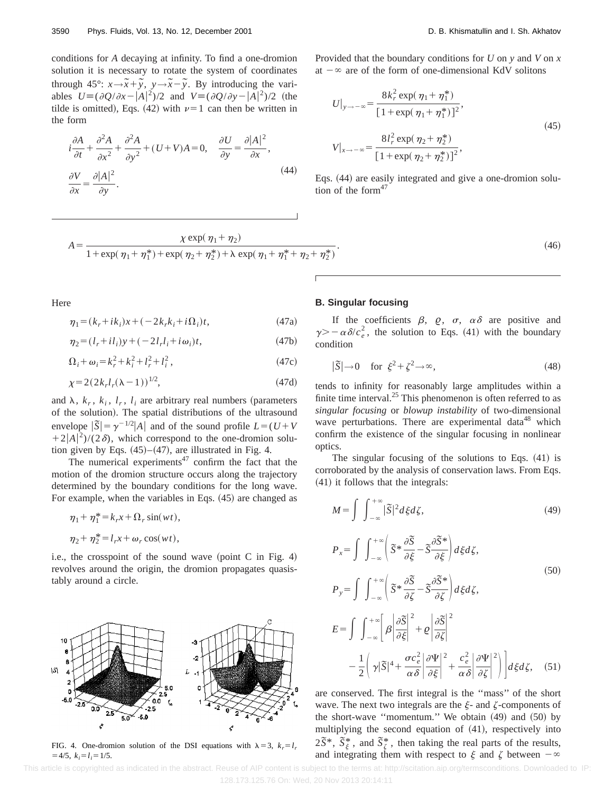conditions for *A* decaying at infinity. To find a one-dromion solution it is necessary to rotate the system of coordinates through  $45^\circ$ :  $x \rightarrow \tilde{x} + \tilde{y}$ ,  $y \rightarrow \tilde{x} - \tilde{y}$ . By introducing the variables  $U \equiv (\partial Q/\partial x - |A|^2)/2$  and  $V \equiv (\partial Q/\partial y - |A|^2)/2$  (the tilde is omitted), Eqs. (42) with  $\nu=1$  can then be written in the form

$$
i\frac{\partial A}{\partial t} + \frac{\partial^2 A}{\partial x^2} + \frac{\partial^2 A}{\partial y^2} + (U + V)A = 0, \quad \frac{\partial U}{\partial y} = \frac{\partial |A|^2}{\partial x},
$$
  
\n
$$
\frac{\partial V}{\partial x} = \frac{\partial |A|^2}{\partial y}.
$$
\n(44)

Provided that the boundary conditions for *U* on *y* and *V* on *x* at  $-\infty$  are of the form of one-dimensional KdV solitons

$$
U|_{y \to -\infty} = \frac{8k_r^2 \exp(\eta_1 + \eta_1^*)}{[1 + \exp(\eta_1 + \eta_1^*)]^2},
$$
  
\n
$$
V|_{x \to -\infty} = \frac{8l_r^2 \exp(\eta_2 + \eta_2^*)}{[1 + \exp(\eta_2 + \eta_2^*)]^2},
$$
\n(45)

Eqs. (44) are easily integrated and give a one-dromion solution of the form $47$ 

$$
A = \frac{\chi \exp(\eta_1 + \eta_2)}{1 + \exp(\eta_1 + \eta_1^*) + \exp(\eta_2 + \eta_2^*) + \lambda \exp(\eta_1 + \eta_1^* + \eta_2 + \eta_2^*)}
$$

$$
\tag{46}
$$

Here

$$
\eta_1 = (k_r + ik_i)x + (-2k_r k_i + i\Omega_i)t,\tag{47a}
$$

$$
\eta_2 = (l_r + il_i)y + (-2l_r l_i + i\omega_i)t,\tag{47b}
$$

$$
\Omega_i + \omega_i = k_r^2 + k_i^2 + l_r^2 + l_i^2, \qquad (47c)
$$

$$
\chi = 2(2k_r l_r (\lambda - 1))^{1/2},\tag{47d}
$$

and  $\lambda$ ,  $k_r$ ,  $k_i$ ,  $l_r$ ,  $l_i$  are arbitrary real numbers (parameters of the solution). The spatial distributions of the ultrasound envelope  $|\tilde{S}| = \gamma^{-1/2} |A|$  and of the sound profile  $L = (U + V)$  $+2|A|^2$ /(2 $\delta$ ), which correspond to the one-dromion solution given by Eqs.  $(45)–(47)$ , are illustrated in Fig. 4.

The numerical experiments<sup>47</sup> confirm the fact that the motion of the dromion structure occurs along the trajectory determined by the boundary conditions for the long wave. For example, when the variables in Eqs.  $(45)$  are changed as

$$
\eta_1 + \eta_1^* = k_r x + \Omega_r \sin(wt),
$$
  

$$
\eta_2 + \eta_2^* = l_r x + \omega_r \cos(wt),
$$

i.e., the crosspoint of the sound wave (point  $C$  in Fig. 4) revolves around the origin, the dromion propagates quasistably around a circle.



 $=4/5, k_i=1,=1/5.$ 

# **B. Singular focusing**

If the coefficients  $\beta$ ,  $\varrho$ ,  $\sigma$ ,  $\alpha\delta$  are positive and  $\gamma$  > -  $\alpha \delta/c_e^2$ , the solution to Eqs. (41) with the boundary condition

$$
|\tilde{S}| \to 0 \quad \text{for } \xi^2 + \zeta^2 \to \infty,
$$
 (48)

tends to infinity for reasonably large amplitudes within a finite time interval.<sup>25</sup> This phenomenon is often referred to as *singular focusing* or *blowup instability* of two-dimensional wave perturbations. There are experimental data<sup>48</sup> which confirm the existence of the singular focusing in nonlinear optics.

The singular focusing of the solutions to Eqs.  $(41)$  is corroborated by the analysis of conservation laws. From Eqs.  $(41)$  it follows that the integrals:

$$
M = \int \int_{-\infty}^{+\infty} |\tilde{S}|^2 d\xi d\zeta,\tag{49}
$$

$$
P_{x} = \int \int_{-\infty}^{+\infty} \left( \tilde{S}^{*} \frac{\partial \tilde{S}}{\partial \xi} - \tilde{S} \frac{\partial \tilde{S}^{*}}{\partial \xi} \right) d\xi d\zeta,
$$
  
\n
$$
P_{y} = \int \int_{-\infty}^{+\infty} \left( \tilde{S}^{*} \frac{\partial \tilde{S}}{\partial \zeta} - \tilde{S} \frac{\partial \tilde{S}^{*}}{\partial \zeta} \right) d\xi d\zeta,
$$
  
\n
$$
E = \int \int_{-\infty}^{+\infty} \left[ \beta \left| \frac{\partial \tilde{S}}{\partial \xi} \right|^{2} + \varrho \left| \frac{\partial \tilde{S}}{\partial \zeta} \right|^{2} - \frac{1}{2} \left( \gamma |\tilde{S}|^{4} + \frac{\sigma c_{e}^{2}}{\alpha \delta} \left| \frac{\partial \Psi}{\partial \xi} \right|^{2} + \frac{c_{e}^{2}}{\alpha \delta} \left| \frac{\partial \Psi}{\partial \zeta} \right|^{2} \right) \right] d\xi d\zeta,
$$
\n(51)

are conserved. The first integral is the ''mass'' of the short wave. The next two integrals are the  $\xi$ - and  $\zeta$ -components of the short-wave "momentum." We obtain  $(49)$  and  $(50)$  by multiplying the second equation of  $(41)$ , respectively into  $2\tilde{S}^*$ ,  $\tilde{S}^*_{\xi}$ , and  $\tilde{S}^*_{\zeta}$ , then taking the real parts of the results, FIG. 4. One-dromion solution of the DSI equations with  $\lambda = 3$ ,  $k_r = l_r$   $2S^*$ ,  $S_{\xi}^2$ , and  $S_{\xi}^2$ , then taking the real parts of the results and integrating them with respect to  $\xi$  and  $\zeta$  between  $-\infty$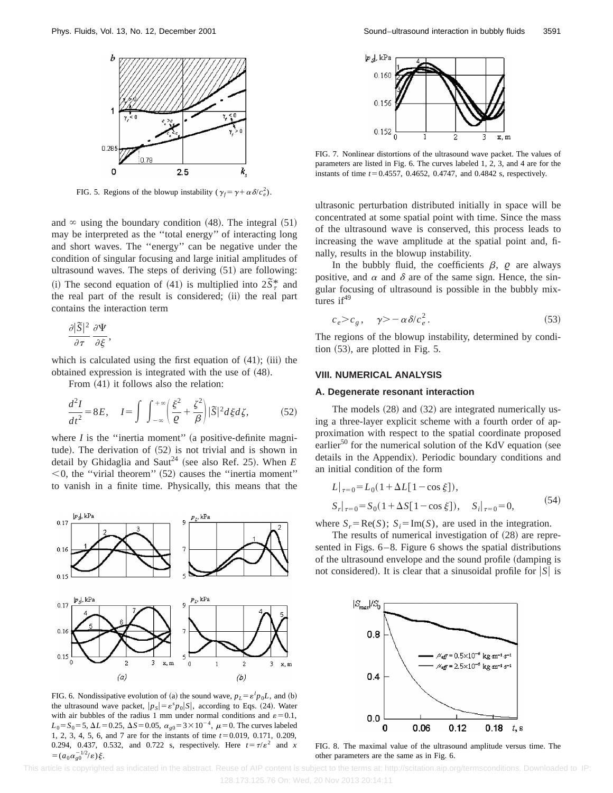

FIG. 5. Regions of the blowup instability  $(\gamma_f = \gamma + \alpha \delta/c_e^2)$ .

and  $\infty$  using the boundary condition (48). The integral (51) may be interpreted as the ''total energy'' of interacting long and short waves. The ''energy'' can be negative under the condition of singular focusing and large initial amplitudes of ultrasound waves. The steps of deriving  $(51)$  are following: (i) The second equation of (41) is multiplied into  $2\tilde{S}_7^*$  and the real part of the result is considered; (ii) the real part contains the interaction term

$$
\frac{\partial |\widetilde{S}|^2}{\partial \tau} \frac{\partial \Psi}{\partial \xi},
$$

which is calculated using the first equation of  $(41)$ ;  $(iii)$  the obtained expression is integrated with the use of  $(48)$ .

From  $(41)$  it follows also the relation:

$$
\frac{d^2I}{dt^2} = 8E, \quad I = \int \int_{-\infty}^{+\infty} \left(\frac{\xi^2}{\varrho} + \frac{\zeta^2}{\beta}\right) |\widetilde{S}|^2 d\xi d\zeta, \tag{52}
$$

where  $I$  is the "inertia moment" (a positive-definite magnitude). The derivation of  $(52)$  is not trivial and is shown in detail by Ghidaglia and Saut<sup>24</sup> (see also Ref. 25). When  $E$  $<$ 0, the "virial theorem"  $(52)$  causes the "inertia moment" to vanish in a finite time. Physically, this means that the



FIG. 6. Nondissipative evolution of (a) the sound wave,  $p_L = \varepsilon^l p_0 L$ , and (b) the ultrasound wave packet,  $|p_S| = \varepsilon^s p_0 |S|$ , according to Eqs. (24). Water with air bubbles of the radius 1 mm under normal conditions and  $\varepsilon = 0.1$ ,  $L_0 = S_0 = 5, \Delta L = 0.25, \Delta S = 0.05, \alpha_{g0} = 3 \times 10^{-4}, \mu = 0$ . The curves labeled 1, 2, 3, 4, 5, 6, and 7 are for the instants of time  $t=0.019$ , 0.171, 0.209, 0.294, 0.437, 0.532, and 0.722 s, respectively. Here  $t = \tau/\varepsilon^2$  and *x*  $=(a_0\alpha_{g0}^{-1/2}/\varepsilon)\xi.$ 



FIG. 7. Nonlinear distortions of the ultrasound wave packet. The values of parameters are listed in Fig. 6. The curves labeled 1, 2, 3, and 4 are for the instants of time  $t=0.4557$ , 0.4652, 0.4747, and 0.4842 s, respectively.

ultrasonic perturbation distributed initially in space will be concentrated at some spatial point with time. Since the mass of the ultrasound wave is conserved, this process leads to increasing the wave amplitude at the spatial point and, finally, results in the blowup instability.

In the bubbly fluid, the coefficients  $\beta$ ,  $\beta$  are always positive, and  $\alpha$  and  $\delta$  are of the same sign. Hence, the singular focusing of ultrasound is possible in the bubbly mixtures  $if^{49}$ 

$$
c_e > c_g, \quad \gamma > -\alpha \delta/c_e^2. \tag{53}
$$

The regions of the blowup instability, determined by condition  $(53)$ , are plotted in Fig. 5.

#### **VIII. NUMERICAL ANALYSIS**

# **A. Degenerate resonant interaction**

The models  $(28)$  and  $(32)$  are integrated numerically using a three-layer explicit scheme with a fourth order of approximation with respect to the spatial coordinate proposed earlier<sup>50</sup> for the numerical solution of the KdV equation (see details in the Appendix). Periodic boundary conditions and an initial condition of the form

$$
L|_{\tau=0} = L_0(1 + \Delta L[1 - \cos \xi]),
$$
  
\n
$$
S_r|_{\tau=0} = S_0(1 + \Delta S[1 - \cos \xi]), \quad S_i|_{\tau=0} = 0,
$$
\n(54)

where  $S_r = \text{Re}(S)$ ;  $S_i = \text{Im}(S)$ , are used in the integration.

The results of numerical investigation of  $(28)$  are represented in Figs. 6–8. Figure 6 shows the spatial distributions of the ultrasound envelope and the sound profile (damping is not considered). It is clear that a sinusoidal profile for  $|S|$  is



FIG. 8. The maximal value of the ultrasound amplitude versus time. The other parameters are the same as in Fig. 6.

This article is copyrighted as indicated in the abstract. Reuse of AIP content is subject to the terms at: http://scitation.aip.org/termsconditions. Downloaded to IP: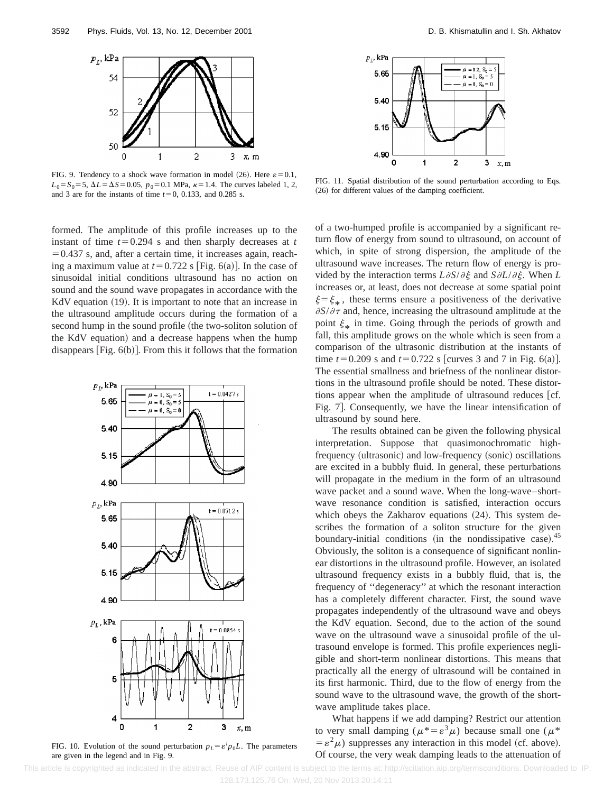

FIG. 9. Tendency to a shock wave formation in model (26). Here  $\varepsilon = 0.1$ ,  $L_0 = S_0 = 5$ ,  $\Delta L = \Delta S = 0.05$ ,  $p_0 = 0.1$  MPa,  $\kappa = 1.4$ . The curves labeled 1, 2, and 3 are for the instants of time  $t=0$ , 0.133, and 0.285 s.

formed. The amplitude of this profile increases up to the instant of time  $t=0.294$  s and then sharply decreases at  $t$  $=0.437$  s, and, after a certain time, it increases again, reaching a maximum value at  $t=0.722$  s [Fig. 6(a)]. In the case of sinusoidal initial conditions ultrasound has no action on sound and the sound wave propagates in accordance with the KdV equation  $(19)$ . It is important to note that an increase in the ultrasound amplitude occurs during the formation of a second hump in the sound profile (the two-soliton solution of the KdV equation) and a decrease happens when the hump disappears  $[Fig. 6(b)].$  From this it follows that the formation



FIG. 10. Evolution of the sound perturbation  $p_L = \varepsilon^l p_0 L$ . The parameters are given in the legend and in Fig. 9.



FIG. 11. Spatial distribution of the sound perturbation according to Eqs.  $(26)$  for different values of the damping coefficient.

of a two-humped profile is accompanied by a significant return flow of energy from sound to ultrasound, on account of which, in spite of strong dispersion, the amplitude of the ultrasound wave increases. The return flow of energy is provided by the interaction terms  $L\partial S/\partial \xi$  and  $S\partial L/\partial \xi$ . When *L* increases or, at least, does not decrease at some spatial point  $\xi = \xi_*$ , these terms ensure a positiveness of the derivative  $\partial S/\partial \tau$  and, hence, increasing the ultrasound amplitude at the point  $\xi_*$  in time. Going through the periods of growth and fall, this amplitude grows on the whole which is seen from a comparison of the ultrasonic distribution at the instants of time  $t=0.209$  s and  $t=0.722$  s [curves 3 and 7 in Fig. 6(a)]. The essential smallness and briefness of the nonlinear distortions in the ultrasound profile should be noted. These distortions appear when the amplitude of ultrasound reduces [cf. Fig. 7]. Consequently, we have the linear intensification of ultrasound by sound here.

The results obtained can be given the following physical interpretation. Suppose that quasimonochromatic highfrequency (ultrasonic) and low-frequency (sonic) oscillations are excited in a bubbly fluid. In general, these perturbations will propagate in the medium in the form of an ultrasound wave packet and a sound wave. When the long-wave–shortwave resonance condition is satisfied, interaction occurs which obeys the Zakharov equations  $(24)$ . This system describes the formation of a soliton structure for the given boundary-initial conditions (in the nondissipative case). $45$ Obviously, the soliton is a consequence of significant nonlinear distortions in the ultrasound profile. However, an isolated ultrasound frequency exists in a bubbly fluid, that is, the frequency of ''degeneracy'' at which the resonant interaction has a completely different character. First, the sound wave propagates independently of the ultrasound wave and obeys the KdV equation. Second, due to the action of the sound wave on the ultrasound wave a sinusoidal profile of the ultrasound envelope is formed. This profile experiences negligible and short-term nonlinear distortions. This means that practically all the energy of ultrasound will be contained in its first harmonic. Third, due to the flow of energy from the sound wave to the ultrasound wave, the growth of the shortwave amplitude takes place.

What happens if we add damping? Restrict our attention to very small damping ( $\mu^* = \varepsilon^3 \mu$ ) because small one ( $\mu^*$  $= \varepsilon^2 \mu$ ) suppresses any interaction in this model (cf. above). Of course, the very weak damping leads to the attenuation of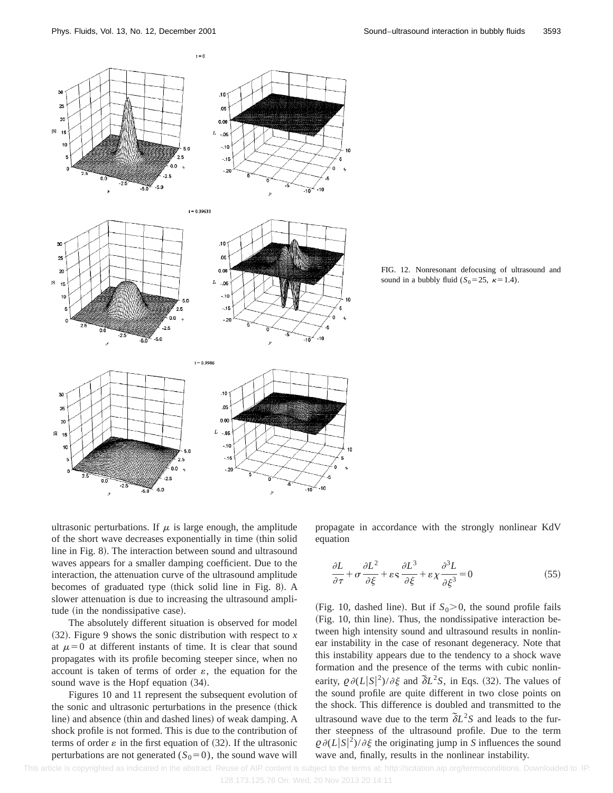

FIG. 12. Nonresonant defocusing of ultrasound and sound in a bubbly fluid  $(S_0=25, \kappa=1.4)$ .

ultrasonic perturbations. If  $\mu$  is large enough, the amplitude of the short wave decreases exponentially in time (thin solid line in Fig. 8). The interaction between sound and ultrasound waves appears for a smaller damping coefficient. Due to the interaction, the attenuation curve of the ultrasound amplitude becomes of graduated type (thick solid line in Fig. 8). A slower attenuation is due to increasing the ultrasound amplitude (in the nondissipative case).

 $-5.0$ 

The absolutely different situation is observed for model  $(32)$ . Figure 9 shows the sonic distribution with respect to *x* at  $\mu=0$  at different instants of time. It is clear that sound propagates with its profile becoming steeper since, when no account is taken of terms of order  $\varepsilon$ , the equation for the sound wave is the Hopf equation  $(34)$ .

Figures 10 and 11 represent the subsequent evolution of the sonic and ultrasonic perturbations in the presence (thick line) and absence (thin and dashed lines) of weak damping. A shock profile is not formed. This is due to the contribution of terms of order  $\varepsilon$  in the first equation of (32). If the ultrasonic perturbations are not generated  $(S_0=0)$ , the sound wave will propagate in accordance with the strongly nonlinear KdV equation

$$
\frac{\partial L}{\partial \tau} + \sigma \frac{\partial L^2}{\partial \xi} + \varepsilon s \frac{\partial L^3}{\partial \xi} + \varepsilon \chi \frac{\partial^3 L}{\partial \xi^3} = 0
$$
 (55)

(Fig. 10, dashed line). But if  $S_0 > 0$ , the sound profile fails (Fig. 10, thin line). Thus, the nondissipative interaction between high intensity sound and ultrasound results in nonlinear instability in the case of resonant degeneracy. Note that this instability appears due to the tendency to a shock wave formation and the presence of the terms with cubic nonlinearity,  $\varrho \partial (L|S|^2)/\partial \xi$  and  $\tilde{\partial}L^2S$ , in Eqs. (32). The values of the sound profile are quite different in two close points on the shock. This difference is doubled and transmitted to the ultrasound wave due to the term  $\delta L^2 S$  and leads to the further steepness of the ultrasound profile. Due to the term  $Q \partial (L|S|^2)/\partial \xi$  the originating jump in *S* influences the sound wave and, finally, results in the nonlinear instability.

-10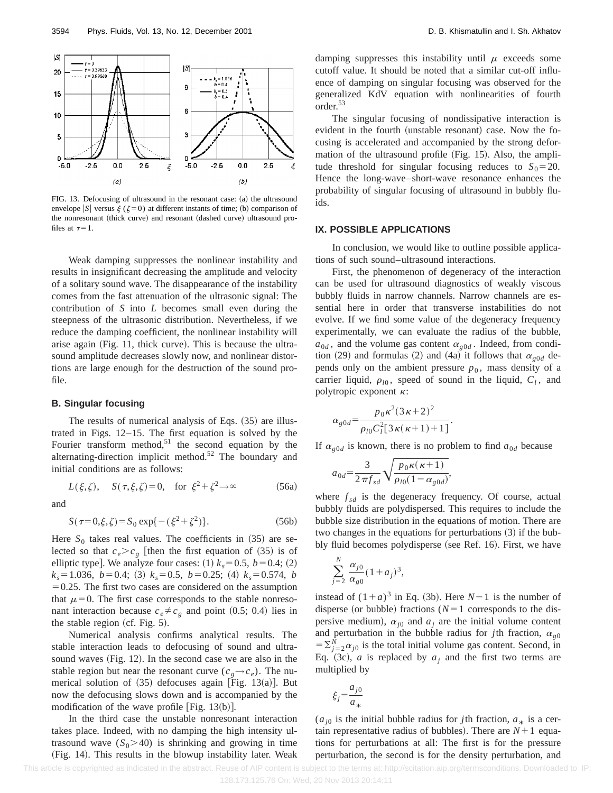

FIG. 13. Defocusing of ultrasound in the resonant case: (a) the ultrasound envelope  $|S|$  versus  $\xi$  ( $\xi=0$ ) at different instants of time; (b) comparison of the nonresonant (thick curve) and resonant (dashed curve) ultrasound profiles at  $\tau=1$ .

Weak damping suppresses the nonlinear instability and results in insignificant decreasing the amplitude and velocity of a solitary sound wave. The disappearance of the instability comes from the fast attenuation of the ultrasonic signal: The contribution of *S* into *L* becomes small even during the steepness of the ultrasonic distribution. Nevertheless, if we reduce the damping coefficient, the nonlinear instability will arise again (Fig. 11, thick curve). This is because the ultrasound amplitude decreases slowly now, and nonlinear distortions are large enough for the destruction of the sound profile.

#### **B. Singular focusing**

The results of numerical analysis of Eqs.  $(35)$  are illustrated in Figs. 12–15. The first equation is solved by the Fourier transform method, $51$  the second equation by the alternating-direction implicit method.<sup>52</sup> The boundary and initial conditions are as follows:

$$
L(\xi, \zeta), \quad S(\tau, \xi, \zeta) = 0, \quad \text{for } \xi^2 + \zeta^2 \to \infty \tag{56a}
$$

and

$$
S(\tau=0,\xi,\zeta) = S_0 \exp\{-(\xi^2 + \zeta^2)\}.
$$
 (56b)

Here  $S_0$  takes real values. The coefficients in  $(35)$  are selected so that  $c_e > c_g$  [then the first equation of (35) is of elliptic type]. We analyze four cases: (1)  $k_s = 0.5$ ,  $b = 0.4$ ; (2)  $k_s = 1.036, b = 0.4;$  (3)  $k_s = 0.5, b = 0.25;$  (4)  $k_s = 0.574, b$  $=0.25$ . The first two cases are considered on the assumption that  $\mu=0$ . The first case corresponds to the stable nonresonant interaction because  $c_e \neq c_g$  and point (0.5; 0.4) lies in the stable region (cf. Fig.  $5$ ).

Numerical analysis confirms analytical results. The stable interaction leads to defocusing of sound and ultrasound waves (Fig. 12). In the second case we are also in the stable region but near the resonant curve  $(c_g \rightarrow c_e)$ . The numerical solution of  $(35)$  defocuses again [Fig. 13 $(a)$ ]. But now the defocusing slows down and is accompanied by the modification of the wave profile  $[Fig. 13(b)].$ 

In the third case the unstable nonresonant interaction takes place. Indeed, with no damping the high intensity ultrasound wave  $(S_0 > 40)$  is shrinking and growing in time (Fig. 14). This results in the blowup instability later. Weak damping suppresses this instability until  $\mu$  exceeds some cutoff value. It should be noted that a similar cut-off influence of damping on singular focusing was observed for the generalized KdV equation with nonlinearities of fourth order.53

The singular focusing of nondissipative interaction is evident in the fourth (unstable resonant) case. Now the focusing is accelerated and accompanied by the strong deformation of the ultrasound profile  $(Fig. 15)$ . Also, the amplitude threshold for singular focusing reduces to  $S_0 = 20$ . Hence the long-wave–short-wave resonance enhances the probability of singular focusing of ultrasound in bubbly fluids.

### **IX. POSSIBLE APPLICATIONS**

In conclusion, we would like to outline possible applications of such sound–ultrasound interactions.

First, the phenomenon of degeneracy of the interaction can be used for ultrasound diagnostics of weakly viscous bubbly fluids in narrow channels. Narrow channels are essential here in order that transverse instabilities do not evolve. If we find some value of the degeneracy frequency experimentally, we can evaluate the radius of the bubble,  $a_{0d}$ , and the volume gas content  $\alpha_{g0d}$ . Indeed, from condition (29) and formulas (2) and (4a) it follows that  $\alpha_{\varrho 0d}$  depends only on the ambient pressure  $p_0$ , mass density of a carrier liquid,  $\rho_{l0}$ , speed of sound in the liquid,  $C_l$ , and polytropic exponent  $\kappa$ :

$$
\alpha_{g0d} = \frac{p_0 \kappa^2 (3\kappa + 2)^2}{\rho_{l0} C_l^2 [3\kappa(\kappa + 1) + 1]}.
$$

If  $\alpha_{\text{g0d}}$  is known, there is no problem to find  $a_{0d}$  because

$$
a_{0d} = \frac{3}{2 \pi f_{sd}} \sqrt{\frac{p_0 \kappa (\kappa + 1)}{\rho_{l0} (1 - \alpha_{g0d})}},
$$

where  $f_{sd}$  is the degeneracy frequency. Of course, actual bubbly fluids are polydispersed. This requires to include the bubble size distribution in the equations of motion. There are two changes in the equations for perturbations  $(3)$  if the bubbly fluid becomes polydisperse (see Ref. 16). First, we have

$$
\sum_{j=2}^N \frac{\alpha_{j0}}{\alpha_{g0}} (1 + a_j)^3,
$$

instead of  $(1+a)^3$  in Eq. (3b). Here  $N-1$  is the number of disperse (or bubble) fractions  $(N=1$  corresponds to the dispersive medium),  $\alpha_{j0}$  and  $a_j$  are the initial volume content and perturbation in the bubble radius for *j*th fraction,  $\alpha_{g0}$  $=\sum_{j=2}^{N} \alpha_{j0}$  is the total initial volume gas content. Second, in Eq. (3c), *a* is replaced by  $a_i$  and the first two terms are multiplied by

$$
\xi_j = \frac{a_{j0}}{a_*}
$$

 $(a_{i0}$  is the initial bubble radius for *j*th fraction,  $a_*$  is a certain representative radius of bubbles). There are  $N+1$  equations for perturbations at all: The first is for the pressure perturbation, the second is for the density perturbation, and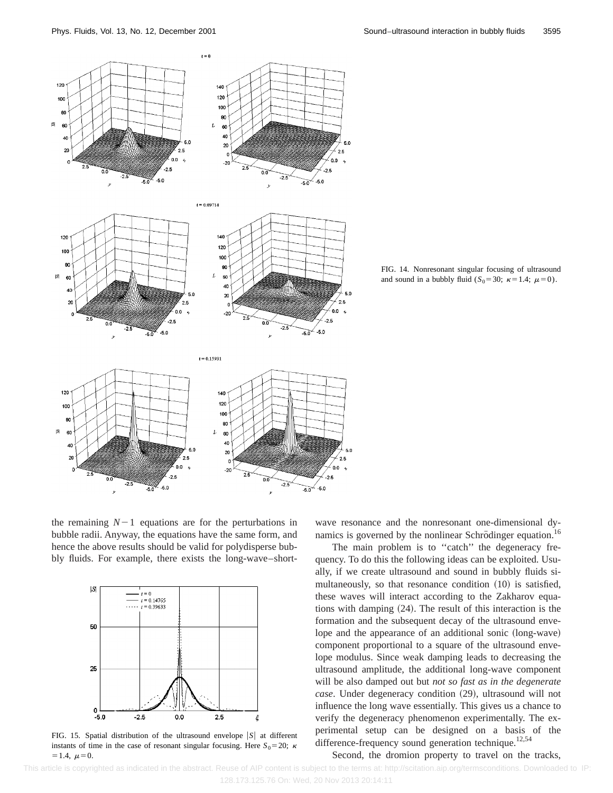

FIG. 14. Nonresonant singular focusing of ultrasound and sound in a bubbly fluid  $(S_0=30; \kappa=1.4; \mu=0)$ .

the remaining  $N-1$  equations are for the perturbations in bubble radii. Anyway, the equations have the same form, and hence the above results should be valid for polydisperse bubbly fluids. For example, there exists the long-wave–short-



FIG. 15. Spatial distribution of the ultrasound envelope  $|S|$  at different instants of time in the case of resonant singular focusing. Here  $S_0 = 20$ ; k  $=1.4, \mu=0.$ 

wave resonance and the nonresonant one-dimensional dynamics is governed by the nonlinear Schrödinger equation.<sup>16</sup>

The main problem is to "catch" the degeneracy frequency. To do this the following ideas can be exploited. Usually, if we create ultrasound and sound in bubbly fluids simultaneously, so that resonance condition (10) is satisfied, these waves will interact according to the Zakharov equations with damping  $(24)$ . The result of this interaction is the formation and the subsequent decay of the ultrasound envelope and the appearance of an additional sonic (long-wave) component proportional to a square of the ultrasound envelope modulus. Since weak damping leads to decreasing the ultrasound amplitude, the additional long-wave component will be also damped out but *not so fast as in the degenerate case*. Under degeneracy condition (29), ultrasound will not influence the long wave essentially. This gives us a chance to verify the degeneracy phenomenon experimentally. The experimental setup can be designed on a basis of the difference-frequency sound generation technique.<sup>12,54</sup>

Second, the dromion property to travel on the tracks,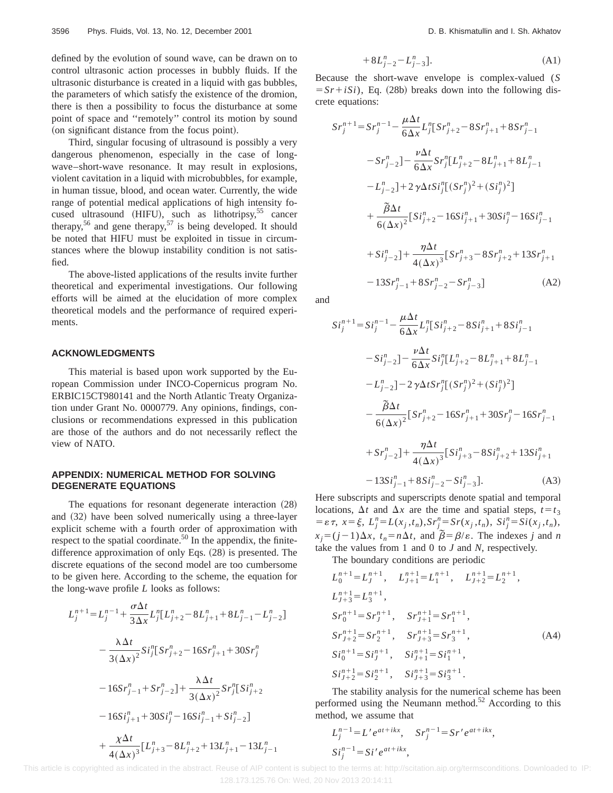defined by the evolution of sound wave, can be drawn on to control ultrasonic action processes in bubbly fluids. If the ultrasonic disturbance is created in a liquid with gas bubbles, the parameters of which satisfy the existence of the dromion, there is then a possibility to focus the disturbance at some point of space and ''remotely'' control its motion by sound (on significant distance from the focus point).

Third, singular focusing of ultrasound is possibly a very dangerous phenomenon, especially in the case of longwave–short-wave resonance. It may result in explosions, violent cavitation in a liquid with microbubbles, for example, in human tissue, blood, and ocean water. Currently, the wide range of potential medical applications of high intensity focused ultrasound (HIFU), such as lithotripsy, $55$  cancer therapy,<sup>56</sup> and gene therapy,<sup>57</sup> is being developed. It should be noted that HIFU must be exploited in tissue in circumstances where the blowup instability condition is not satisfied.

The above-listed applications of the results invite further theoretical and experimental investigations. Our following efforts will be aimed at the elucidation of more complex theoretical models and the performance of required experiments.

#### **ACKNOWLEDGMENTS**

This material is based upon work supported by the European Commission under INCO-Copernicus program No. ERBIC15CT980141 and the North Atlantic Treaty Organization under Grant No. 0000779. Any opinions, findings, conclusions or recommendations expressed in this publication are those of the authors and do not necessarily reflect the view of NATO.

### **APPENDIX: NUMERICAL METHOD FOR SOLVING DEGENERATE EQUATIONS**

The equations for resonant degenerate interaction  $(28)$ and  $(32)$  have been solved numerically using a three-layer explicit scheme with a fourth order of approximation with respect to the spatial coordinate.<sup>50</sup> In the appendix, the finitedifference approximation of only Eqs.  $(28)$  is presented. The discrete equations of the second model are too cumbersome to be given here. According to the scheme, the equation for the long-wave profile *L* looks as follows:

$$
L_j^{n+1} = L_j^{n-1} + \frac{\sigma \Delta t}{3 \Delta x} L_j^n [L_{j+2}^n - 8L_{j+1}^n + 8L_{j-1}^n - L_{j-2}^n]
$$
  

$$
- \frac{\lambda \Delta t}{3 (\Delta x)^2} S i_j^n [S r_{j+2}^n - 16S r_{j+1}^n + 30S r_j^n]
$$
  

$$
- 16S r_{j-1}^n + S r_{j-2}^n] + \frac{\lambda \Delta t}{3 (\Delta x)^2} S r_j^n [S i_{j+2}^n
$$
  

$$
- 16S i_{j+1}^n + 30S i_j^n - 16S i_{j-1}^n + S i_{j-2}^n]
$$
  

$$
+ \frac{\chi \Delta t}{4 (\Delta x)^3} [L_{j+3}^n - 8L_{j+2}^n + 13L_{j+1}^n - 13L_{j-1}^n]
$$

$$
+8L_{j-2}^n - L_{j-3}^n.\tag{A1}
$$

Because the short-wave envelope is complex-valued (*S*  $= Sr + iSi$ , Eq. (28b) breaks down into the following discrete equations:

$$
Sr_j^{n+1} = Sr_j^{n-1} - \frac{\mu \Delta t}{6\Delta x} L_j^n [Sr_{j+2}^n - 8Sr_{j+1}^n + 8Sr_{j-1}^n
$$
  
\n
$$
- Sr_{j-2}^n] - \frac{\nu \Delta t}{6\Delta x} Sr_j^n [L_{j+2}^n - 8L_{j+1}^n + 8L_{j-1}^n
$$
  
\n
$$
- L_{j-2}^n] + 2 \gamma \Delta t Si_j^n [(Sr_j^n)^2 + (Si_j^n)^2]
$$
  
\n
$$
+ \frac{\tilde{\beta} \Delta t}{6(\Delta x)^2} [Si_{j+2}^n - 16Si_{j+1}^n + 30Si_j^n - 16Si_{j-1}^n
$$
  
\n
$$
+ Si_{j-2}^n] + \frac{\eta \Delta t}{4(\Delta x)^3} [Sr_{j+3}^n - 8Sr_{j+2}^n + 13Sr_{j+1}^n
$$
  
\n
$$
- 13Sr_{j-1}^n + 8Sr_{j-2}^n - Sr_{j-3}^n]
$$
 (A2)

and

$$
Si_j^{n+1} = Si_j^{n-1} - \frac{\mu \Delta t}{6\Delta x} L_j^n [Si_{j+2}^n - 8Si_{j+1}^n + 8Si_{j-1}^n
$$
  
\n
$$
- Si_{j-2}^n] - \frac{\nu \Delta t}{6\Delta x} Si_j^n [L_{j+2}^n - 8L_{j+1}^n + 8L_{j-1}^n
$$
  
\n
$$
- L_{j-2}^n] - 2\gamma \Delta t Sr_j^n [(Sr_j^n)^2 + (Si_j^n)^2]
$$
  
\n
$$
- \frac{\tilde{\beta} \Delta t}{6(\Delta x)^2} [Sr_{j+2}^n - 16Sr_{j+1}^n + 30Sr_j^n - 16Sr_{j-1}^n
$$
  
\n
$$
+ Sr_{j-2}^n] + \frac{\eta \Delta t}{4(\Delta x)^3} [Si_{j+3}^n - 8Si_{j+2}^n + 13Si_{j+1}^n
$$
  
\n
$$
- 13Si_{j-1}^n + 8Si_{j-2}^n - Si_{j-3}^n].
$$
 (A3)

Here subscripts and superscripts denote spatial and temporal locations,  $\Delta t$  and  $\Delta x$  are the time and spatial steps,  $t = t_3$  $= \varepsilon \tau$ ,  $x = \xi$ ,  $L_j^n = L(x_j, t_n)$ ,  $Sr_j^n = Sr(x_j, t_n)$ ,  $Si_j^n = Si(x_j, t_n)$ ,  $x_j = (j-1)\Delta x$ ,  $t_n = n\Delta t$ , and  $\tilde{\beta} = \beta/\varepsilon$ . The indexes *j* and *n* take the values from 1 and 0 to *J* and *N*, respectively.

The boundary conditions are periodic  $L_0^{n+1} = L_J^{n+1}$ ,  $L_{J+1}^{n+1} = L_1^{n+1}$ ,  $L_{J+2}^{n+1} = L_2^{n+1}$ ,  $L_{J+3}^{n+1} = L_3^{n+1}$ ,  $Sr_0^{n+1} = Sr_J^{n+1}, \quad Sr_{J+1}^{n+1} = Sr_1^{n+1},$  $Sr_{J+2}^{n+1} = Sr_2^{n+1}, \quad Sr_{J+3}^{n+1} = Sr_3^{n+1},$  (A4)

$$
Si_0^{n+1} = Si_J^{n+1}, \quad Si_{J+1}^{n+1} = Si_1^{n+1},
$$
  
\n
$$
Si_{J+2}^{n+1} = Si_2^{n+1}, \quad Si_{J+3}^{n+1} = Si_3^{n+1}.
$$

The stability analysis for the numerical scheme has been performed using the Neumann method.<sup>52</sup> According to this method, we assume that

$$
L_j^{n-1} = L' e^{at+ikx}, \quad Sr_j^{n-1} = Sr' e^{at+ikx},
$$
  
\n
$$
Si_j^{n-1} = Si' e^{at+ikx},
$$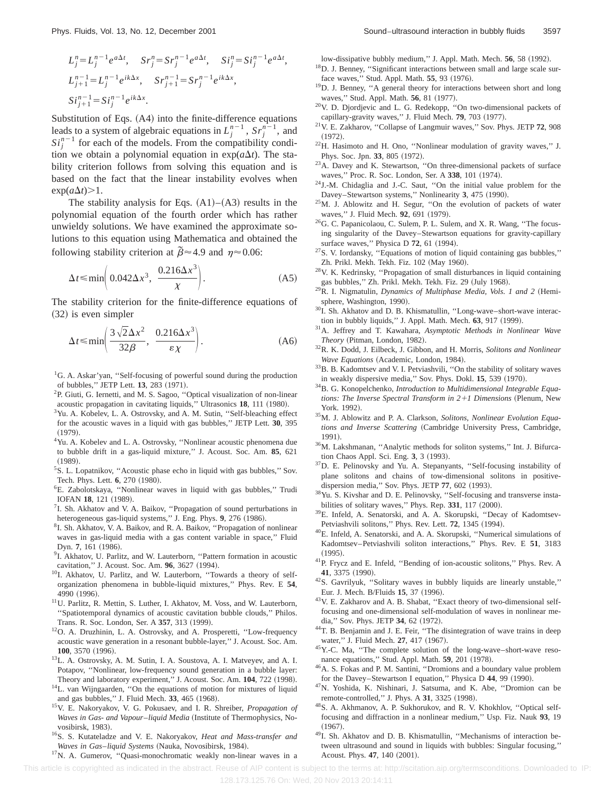$$
L_j^n = L_j^{n-1} e^{a\Delta t}, \quad Sr_j^n = Sr_j^{n-1} e^{a\Delta t}, \quad Si_j^n = Si_j^{n-1} e^{a\Delta t},
$$
  
\n
$$
L_{j+1}^{n-1} = L_j^{n-1} e^{ik\Delta x}, \quad Sr_{j+1}^{n-1} = Sr_j^{n-1} e^{ik\Delta x},
$$
  
\n
$$
Si_{j+1}^{n-1} = Si_j^{n-1} e^{ik\Delta x}.
$$

Substitution of Eqs.  $(A4)$  into the finite-difference equations leads to a system of algebraic equations in  $L_j^{n-1}$ ,  $Sr_j^{n-1}$ , and  $Si_j^{n-1}$  for each of the models. From the compatibility condition we obtain a polynomial equation in  $exp(a\Delta t)$ . The stability criterion follows from solving this equation and is based on the fact that the linear instability evolves when  $\exp(a\Delta t) > 1$ .

The stability analysis for Eqs.  $(A1)$ – $(A3)$  results in the polynomial equation of the fourth order which has rather unwieldy solutions. We have examined the approximate solutions to this equation using Mathematica and obtained the following stability criterion at  $\tilde{\beta} \approx 4.9$  and  $\eta \approx 0.06$ :

$$
\Delta t \le \min\left(0.042\Delta x^3, \ \frac{0.216\Delta x^3}{\chi}\right). \tag{A5}
$$

The stability criterion for the finite-difference equations of  $(32)$  is even simpler

$$
\Delta t \le \min\left(\frac{3\sqrt{2}\Delta x^2}{32\beta}, \frac{0.216\Delta x^3}{\epsilon \chi}\right). \tag{A6}
$$

- <sup>1</sup>G. A. Askar'yan, "Self-focusing of powerful sound during the production of bubbles," JETP Lett. **13**, 283 (1971).
- <sup>2</sup>P. Giuti, G. Iernetti, and M. S. Sagoo, "Optical visualization of non-linear acoustic propagation in cavitating liquids," Ultrasonics 18, 111 (1980).
- <sup>3</sup>Yu. A. Kobelev, L. A. Ostrovsky, and A. M. Sutin, "Self-bleaching effect for the acoustic waves in a liquid with gas bubbles,'' JETP Lett. **30**, 395  $(1979).$
- <sup>4</sup>Yu. A. Kobelev and L. A. Ostrovsky, "Nonlinear acoustic phenomena due to bubble drift in a gas-liquid mixture,'' J. Acoust. Soc. Am. **85**, 621  $(1989).$
- <sup>5</sup>S. L. Lopatnikov, "Acoustic phase echo in liquid with gas bubbles," Sov. Tech. Phys. Lett. 6, 270 (1980).
- 6E. Zabolotskaya, ''Nonlinear waves in liquid with gas bubbles,'' Trudi IOFAN 18, 121 (1989).
- 7I. Sh. Akhatov and V. A. Baikov, ''Propagation of sound perturbations in heterogeneous gas-liquid systems," J. Eng. Phys. 9, 276 (1986).
- <sup>8</sup>I. Sh. Akhatov, V. A. Baikov, and R. A. Baikov, "Propagation of nonlinear waves in gas-liquid media with a gas content variable in space,'' Fluid Dyn. 7, 161 (1986).
- 9I. Akhatov, U. Parlitz, and W. Lauterborn, ''Pattern formation in acoustic cavitation," J. Acoust. Soc. Am. 96, 3627 (1994).
- <sup>10</sup>I. Akhatov, U. Parlitz, and W. Lauterborn, "Towards a theory of selforganization phenomena in bubble-liquid mixtures,'' Phys. Rev. E **54**, 4990 (1996).
- <sup>11</sup>U. Parlitz, R. Mettin, S. Luther, I. Akhatov, M. Voss, and W. Lauterborn, ''Spatiotemporal dynamics of acoustic cavitation bubble clouds,'' Philos. Trans. R. Soc. London, Ser. A 357, 313 (1999).
- 12O. A. Druzhinin, L. A. Ostrovsky, and A. Prosperetti, ''Low-frequency acoustic wave generation in a resonant bubble-layer,'' J. Acoust. Soc. Am. **100**, 3570 (1996).
- 13L. A. Ostrovsky, A. M. Sutin, I. A. Soustova, A. I. Matveyev, and A. I. Potapov, ''Nonlinear, low-frequency sound generation in a bubble layer: Theory and laboratory experiment," J. Acoust. Soc. Am. 104, 722 (1998).
- <sup>14</sup>L. van Wijngaarden, "On the equations of motion for mixtures of liquid and gas bubbles," J. Fluid Mech. 33, 465 (1968).
- 15V. E. Nakoryakov, V. G. Pokusaev, and I. R. Shreiber, *Propagation of Waves in Gas- and Vapour–liquid Media* (Institute of Thermophysics, Novosibirsk, 1983).
- 16S. S. Kutateladze and V. E. Nakoryakov, *Heat and Mass-transfer and Waves in Gas-liquid Systems* (Nauka, Novosibirsk, 1984).
- <sup>17</sup>N. A. Gumerov, "Quasi-monochromatic weakly non-linear waves in a

low-dissipative bubbly medium," J. Appl. Math. Mech. 56, 58 (1992).

- <sup>18</sup>D. J. Benney, "Significant interactions between small and large scale surface waves," Stud. Appl. Math. 55, 93 (1976).
- 19D. J. Benney, ''A general theory for interactions between short and long waves," Stud. Appl. Math. 56, 81 (1977).
- 20V. D. Djordjevic and L. G. Redekopp, ''On two-dimensional packets of capillary-gravity waves," J. Fluid Mech. 79, 703 (1977).
- 21V. E. Zakharov, ''Collapse of Langmuir waves,'' Sov. Phys. JETP **72**, 908  $(1972).$
- 22H. Hasimoto and H. Ono, ''Nonlinear modulation of gravity waves,'' J. Phys. Soc. Jpn. 33, 805 (1972).
- 23A. Davey and K. Stewartson, ''On three-dimensional packets of surface waves," Proc. R. Soc. London, Ser. A 338, 101 (1974).
- 24J.-M. Chidaglia and J.-C. Saut, ''On the initial value problem for the Davey–Stewartson systems," Nonlinearity 3, 475 (1990).
- 25M. J. Ablowitz and H. Segur, ''On the evolution of packets of water waves," J. Fluid Mech. 92, 691 (1979).
- 26G. C. Papanicolaou, C. Sulem, P. L. Sulem, and X. R. Wang, ''The focusing singularity of the Davey–Stewartson equations for gravity-capillary surface waves," Physica D 72, 61 (1994).
- 27S. V. Iordansky, ''Equations of motion of liquid containing gas bubbles,'' Zh. Prikl. Mekh. Tekh. Fiz. 102 (May 1960).
- 28V. K. Kedrinsky, ''Propagation of small disturbances in liquid containing gas bubbles," Zh. Prikl. Mekh. Tekh. Fiz. 29 (July 1968).
- <sup>29</sup>R. I. Nigmatulin, *Dynamics of Multiphase Media, Vols. 1 and 2* (Hemisphere, Washington, 1990).
- <sup>30</sup>I. Sh. Akhatov and D. B. Khismatullin, "Long-wave–short-wave interaction in bubbly liquids," J. Appl. Math. Mech. 63, 917 (1999).
- 31A. Jeffrey and T. Kawahara, *Asymptotic Methods in Nonlinear Wave*  $Theory$  (Pitman, London, 1982).
- 32R. K. Dodd, J. Eilbeck, J. Gibbon, and H. Morris, *Solitons and Nonlinear Wave Equations* (Academic, London, 1984).
- 33B. B. Kadomtsev and V. I. Petviashvili, ''On the stability of solitary waves in weakly dispersive media," Sov. Phys. Dokl. **15**, 539 (1970).
- 34B. G. Konopelchenko, *Introduction to Multidimensional Integrable Equations: The Inverse Spectral Transform in*  $2+1$  *Dimensions* (Plenum, New York. 1992).
- 35M. J. Ablowitz and P. A. Clarkson, *Solitons, Nonlinear Evolution Equa*tions and Inverse Scattering (Cambridge University Press, Cambridge, 1991).
- 36M. Lakshmanan, ''Analytic methods for soliton systems,'' Int. J. Bifurcation Chaos Appl. Sci. Eng. 3, 3 (1993).
- $37$ D. E. Pelinovsky and Yu. A. Stepanyants, "Self-focusing instability of plane solitons and chains of tow-dimensional solitons in positivedispersion media," Sov. Phys. JETP 77, 602 (1993).
- 38Yu. S. Kivshar and D. E. Pelinovsky, ''Self-focusing and transverse instabilities of solitary waves," Phys. Rep.  $331$ ,  $117$   $(2000)$ .
- 39E. Infeld, A. Senatorski, and A. A. Skorupski, ''Decay of Kadomtsev-Petviashvili solitons," Phys. Rev. Lett. **72**, 1345 (1994).
- 40E. Infeld, A. Senatorski, and A. A. Skorupski, ''Numerical simulations of Kadomtsev–Petviashvili soliton interactions,'' Phys. Rev. E **51**, 3183  $(1995).$
- 41P. Frycz and E. Infeld, ''Bending of ion-acoustic solitons,'' Phys. Rev. A 41, 3375 (1990).
- 42S. Gavrilyuk, ''Solitary waves in bubbly liquids are linearly unstable,'' Eur. J. Mech. B/Fluids 15, 37 (1996).
- 43V. E. Zakharov and A. B. Shabat, ''Exact theory of two-dimensional selffocusing and one-dimensional self-modulation of waves in nonlinear media," Sov. Phys. JETP 34, 62 (1972).
- <sup>44</sup>T. B. Benjamin and J. E. Feir, "The disintegration of wave trains in deep water," J. Fluid Mech. 27, 417 (1967).
- 45Y.-C. Ma, ''The complete solution of the long-wave–short-wave resonance equations," Stud. Appl. Math. 59, 201 (1978).
- <sup>46</sup>A. S. Fokas and P. M. Santini, "Dromions and a boundary value problem for the Davey–Stewartson I equation," Physica D 44, 99 (1990).
- 47N. Yoshida, K. Nishinari, J. Satsuma, and K. Abe, ''Dromion can be remote-controlled," J. Phys. A 31, 3325 (1998).
- 48S. A. Akhmanov, A. P. Sukhorukov, and R. V. Khokhlov, ''Optical selffocusing and diffraction in a nonlinear medium,'' Usp. Fiz. Nauk **93**, 19  $(1967).$
- 49I. Sh. Akhatov and D. B. Khismatullin, ''Mechanisms of interaction between ultrasound and sound in liquids with bubbles: Singular focusing,'' Acoust. Phys. 47, 140 (2001).

This article is copyrighted as indicated in the abstract. Reuse of AIP content is subject to the terms at: http://scitation.aip.org/termsconditions. Downloaded to IP:

128.173.125.76 On: Wed, 20 Nov 2013 20:14:11